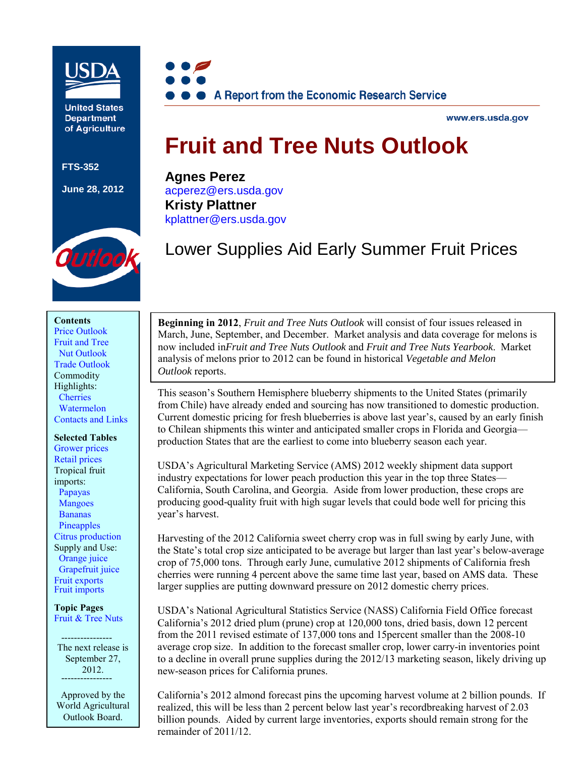

**United States Department** of Agriculture

**FTS-352**

**June 28, 2012**



www.ers.usda.gov

# **Fruit and Tree Nuts Outlook**

**Agnes Perez** [acperez@ers.usda.gov](mailto:acperez@ers.usda.gov) **Kristy Plattner** [kplattner@ers.usda.gov](mailto: kplattner@ers.usda.gov)



Lower Supplies Aid Early Summer Fruit Prices

#### **Contents**

[Price Outlook](#page-1-0) Fruit and Tree  [Nut Outlook](#page-5-0) Trade [Outlook](#page-27-0) Commodity Highlights: **[Cherries](#page-30-0)**  [Watermelon](#page-38-0) [Contacts and](#page-43-0) Links

#### **Selected Tables**

[Grower prices](#page-2-0) [Retail prices](#page-4-0) Tropical fruit imports: [Papayas](#page-11-0)  [Mangoes](#page-12-0) [Bananas](#page-13-0)  [Pineapples](#page-14-0) [Citrus production](#page-17-0) Supply and Use:  [Orange juice](#page-19-0)  [Grapefruit juice](#page-23-0) [Fruit exports](#page-28-0) [Fruit imports](#page-28-0)

**Topic Pages** [Fruit & Tree Nuts](http://www.ers.usda.gov/topics/crops/fruit-tree-nuts.aspx)

 ---------------- The next release is September 27, 2012.

Approved by the World Agricultural Outlook Board.

**Beginning in 2012**, *Fruit and Tree Nuts Outlook* will consist of four issues released in March, June, September, and December. Market analysis and data coverage for melons is now included in*Fruit and Tree Nuts Outlook* and *Fruit and Tree Nuts Yearbook*. Market analysis of melons prior to 2012 can be found in historical *Vegetable and Melon Outlook* reports.

This season's Southern Hemisphere blueberry shipments to the United States (primarily from Chile) have already ended and sourcing has now transitioned to domestic production. Current domestic pricing for fresh blueberries is above last year's, caused by an early finish to Chilean shipments this winter and anticipated smaller crops in Florida and Georgia production States that are the earliest to come into blueberry season each year.

USDA's Agricultural Marketing Service (AMS) 2012 weekly shipment data support industry expectations for lower peach production this year in the top three States— California, South Carolina, and Georgia. Aside from lower production, these crops are producing good-quality fruit with high sugar levels that could bode well for pricing this year's harvest.

Harvesting of the 2012 California sweet cherry crop was in full swing by early June, with the State's total crop size anticipated to be average but larger than last year's below-average crop of 75,000 tons. Through early June, cumulative 2012 shipments of California fresh cherries were running 4 percent above the same time last year, based on AMS data. These larger supplies are putting downward pressure on 2012 domestic cherry prices.

USDA's National Agricultural Statistics Service (NASS) California Field Office forecast California's 2012 dried plum (prune) crop at 120,000 tons, dried basis, down 12 percent from the 2011 revised estimate of 137,000 tons and 15percent smaller than the 2008-10 average crop size. In addition to the forecast smaller crop, lower carry-in inventories point to a decline in overall prune supplies during the 2012/13 marketing season, likely driving up new-season prices for California prunes.

California's 2012 almond forecast pins the upcoming harvest volume at 2 billion pounds. If realized, this will be less than 2 percent below last year's recordbreaking harvest of 2.03 billion pounds. Aided by current large inventories, exports should remain strong for the remainder of 2011/12.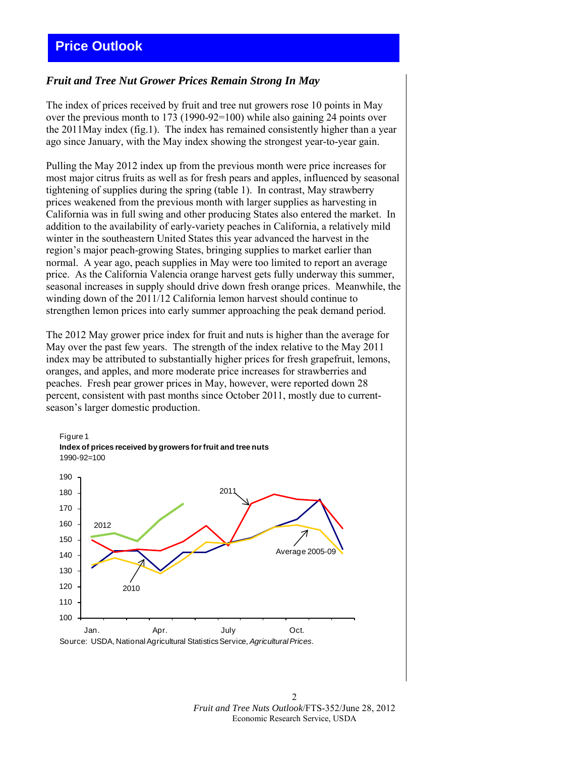# <span id="page-1-0"></span>*Fruit and Tree Nut Grower Prices Remain Strong In May*

The index of prices received by fruit and tree nut growers rose 10 points in May over the previous month to 173 (1990-92=100) while also gaining 24 points over the 2011May index (fig.1). The index has remained consistently higher than a year ago since January, with the May index showing the strongest year-to-year gain.

Pulling the May 2012 index up from the previous month were price increases for most major citrus fruits as well as for fresh pears and apples, influenced by seasonal tightening of supplies during the spring (table 1). In contrast, May strawberry prices weakened from the previous month with larger supplies as harvesting in California was in full swing and other producing States also entered the market. In addition to the availability of early-variety peaches in California, a relatively mild winter in the southeastern United States this year advanced the harvest in the region's major peach-growing States, bringing supplies to market earlier than normal. A year ago, peach supplies in May were too limited to report an average price. As the California Valencia orange harvest gets fully underway this summer, seasonal increases in supply should drive down fresh orange prices. Meanwhile, the winding down of the 2011/12 California lemon harvest should continue to strengthen lemon prices into early summer approaching the peak demand period.

The 2012 May grower price index for fruit and nuts is higher than the average for May over the past few years. The strength of the index relative to the May 2011 index may be attributed to substantially higher prices for fresh grapefruit, lemons, oranges, and apples, and more moderate price increases for strawberries and peaches. Fresh pear grower prices in May, however, were reported down 28 percent, consistent with past months since October 2011, mostly due to currentseason's larger domestic production.



Source: USDA, National Agricultural Statistics Service, *Agricultural Prices.*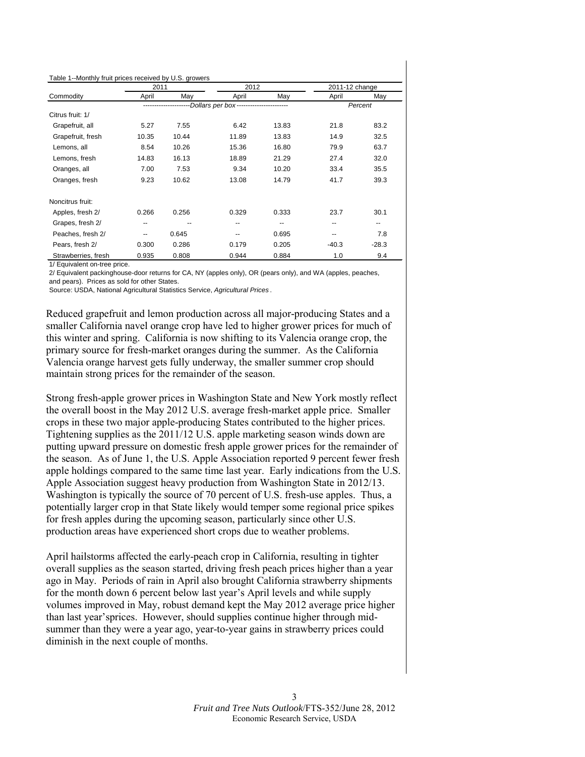<span id="page-2-0"></span>

|                     |       | 2011  |                                         | 2012  | 2011-12 change |         |
|---------------------|-------|-------|-----------------------------------------|-------|----------------|---------|
| Commodity           | April | Mav   | April                                   | May   | April          | May     |
|                     |       |       | -Dollars per box----------------------- |       |                | Percent |
| Citrus fruit: 1/    |       |       |                                         |       |                |         |
| Grapefruit, all     | 5.27  | 7.55  | 6.42                                    | 13.83 | 21.8           | 83.2    |
| Grapefruit, fresh   | 10.35 | 10.44 | 11.89                                   | 13.83 | 14.9           | 32.5    |
| Lemons, all         | 8.54  | 10.26 | 15.36                                   | 16.80 | 79.9           | 63.7    |
| Lemons, fresh       | 14.83 | 16.13 | 18.89                                   | 21.29 | 27.4           | 32.0    |
| Oranges, all        | 7.00  | 7.53  | 9.34                                    | 10.20 | 33.4           | 35.5    |
| Oranges, fresh      | 9.23  | 10.62 | 13.08                                   | 14.79 | 41.7           | 39.3    |
| Noncitrus fruit:    |       |       |                                         |       |                |         |
| Apples, fresh 2/    | 0.266 | 0.256 | 0.329                                   | 0.333 | 23.7           | 30.1    |
| Grapes, fresh 2/    | $- -$ |       | --                                      | --    | $- -$          | --      |
| Peaches, fresh 2/   | --    | 0.645 | --                                      | 0.695 | --             | 7.8     |
| Pears, fresh 2/     | 0.300 | 0.286 | 0.179                                   | 0.205 | $-40.3$        | $-28.3$ |
| Strawberries, fresh | 0.935 | 0.808 | 0.944                                   | 0.884 | 1.0            | 9.4     |

1/ Equivalent on-tree price.

2/ Equivalent packinghouse-door returns for CA, NY (apples only), OR (pears only), and WA (apples, peaches, and pears). Prices as sold for other States.

Source: USDA, National Agricultural Statistics Service, *Agricultural Prices* .

Reduced grapefruit and lemon production across all major-producing States and a smaller California navel orange crop have led to higher grower prices for much of this winter and spring. California is now shifting to its Valencia orange crop, the primary source for fresh-market oranges during the summer. As the California Valencia orange harvest gets fully underway, the smaller summer crop should maintain strong prices for the remainder of the season.

Strong fresh-apple grower prices in Washington State and New York mostly reflect the overall boost in the May 2012 U.S. average fresh-market apple price. Smaller crops in these two major apple-producing States contributed to the higher prices. Tightening supplies as the 2011/12 U.S. apple marketing season winds down are putting upward pressure on domestic fresh apple grower prices for the remainder of the season. As of June 1, the U.S. Apple Association reported 9 percent fewer fresh apple holdings compared to the same time last year. Early indications from the U.S. Apple Association suggest heavy production from Washington State in 2012/13. Washington is typically the source of 70 percent of U.S. fresh-use apples. Thus, a potentially larger crop in that State likely would temper some regional price spikes for fresh apples during the upcoming season, particularly since other U.S. production areas have experienced short crops due to weather problems.

April hailstorms affected the early-peach crop in California, resulting in tighter overall supplies as the season started, driving fresh peach prices higher than a year ago in May. Periods of rain in April also brought California strawberry shipments for the month down 6 percent below last year's April levels and while supply volumes improved in May, robust demand kept the May 2012 average price higher than last year'sprices. However, should supplies continue higher through midsummer than they were a year ago, year-to-year gains in strawberry prices could diminish in the next couple of months.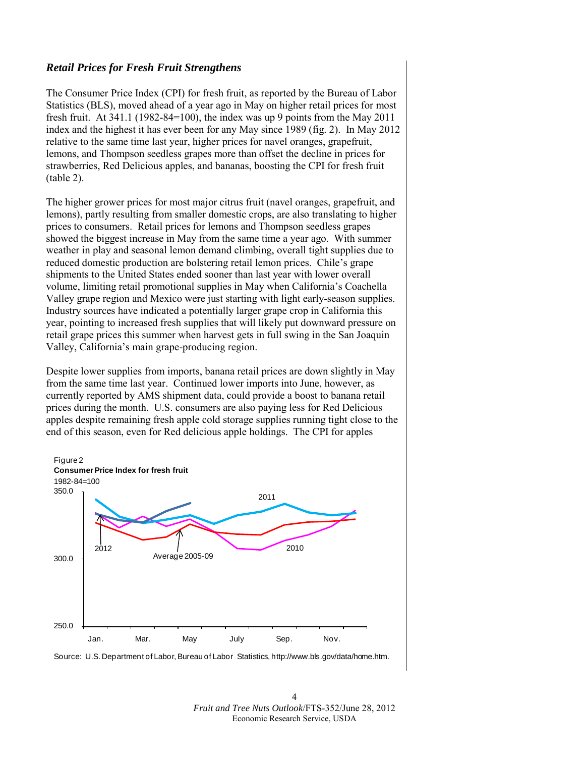## *Retail Prices for Fresh Fruit Strengthens*

The Consumer Price Index (CPI) for fresh fruit, as reported by the Bureau of Labor Statistics (BLS), moved ahead of a year ago in May on higher retail prices for most fresh fruit. At  $341.1$  (1982-84=100), the index was up 9 points from the May 2011 index and the highest it has ever been for any May since 1989 (fig. 2). In May 2012 relative to the same time last year, higher prices for navel oranges, grapefruit, lemons, and Thompson seedless grapes more than offset the decline in prices for strawberries, Red Delicious apples, and bananas, boosting the CPI for fresh fruit (table 2).

The higher grower prices for most major citrus fruit (navel oranges, grapefruit, and lemons), partly resulting from smaller domestic crops, are also translating to higher prices to consumers. Retail prices for lemons and Thompson seedless grapes showed the biggest increase in May from the same time a year ago. With summer weather in play and seasonal lemon demand climbing, overall tight supplies due to reduced domestic production are bolstering retail lemon prices. Chile's grape shipments to the United States ended sooner than last year with lower overall volume, limiting retail promotional supplies in May when California's Coachella Valley grape region and Mexico were just starting with light early-season supplies. Industry sources have indicated a potentially larger grape crop in California this year, pointing to increased fresh supplies that will likely put downward pressure on retail grape prices this summer when harvest gets in full swing in the San Joaquin Valley, California's main grape-producing region.

Despite lower supplies from imports, banana retail prices are down slightly in May from the same time last year. Continued lower imports into June, however, as currently reported by AMS shipment data, could provide a boost to banana retail prices during the month. U.S. consumers are also paying less for Red Delicious apples despite remaining fresh apple cold storage supplies running tight close to the end of this season, even for Red delicious apple holdings. The CPI for apples



Source: U.S. Department of Labor, Bureau of Labor Statistics, http://www.bls.gov/data/home.htm.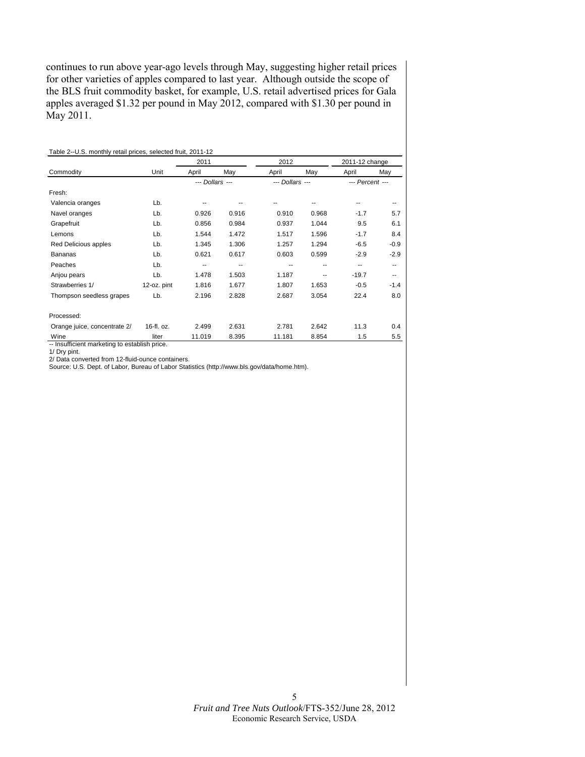<span id="page-4-0"></span>continues to run above year-ago levels through May, suggesting higher retail prices for other varieties of apples compared to last year. Although outside the scope of the BLS fruit commodity basket, for example, U.S. retail advertised prices for Gala apples averaged \$1.32 per pound in May 2012, compared with \$1.30 per pound in May 2011.

|                              |             | 2011            |       | 2012            |       | 2011-12 change  |        |
|------------------------------|-------------|-----------------|-------|-----------------|-------|-----------------|--------|
| Commodity                    | Unit        | April           | May   | April           | May   | April           | May    |
|                              |             | --- Dollars --- |       | --- Dollars --- |       | --- Percent --- |        |
| Fresh:                       |             |                 |       |                 |       |                 |        |
| Valencia oranges             | Lb.         |                 |       |                 |       |                 |        |
| Navel oranges                | Lb.         | 0.926           | 0.916 | 0.910           | 0.968 | $-1.7$          | 5.7    |
| Grapefruit                   | Lb.         | 0.856           | 0.984 | 0.937           | 1.044 | 9.5             | 6.1    |
| Lemons                       | Lb.         | 1.544           | 1.472 | 1.517           | 1.596 | $-1.7$          | 8.4    |
| Red Delicious apples         | Lb.         | 1.345           | 1.306 | 1.257           | 1.294 | $-6.5$          | $-0.9$ |
| <b>Bananas</b>               | Lb.         | 0.621           | 0.617 | 0.603           | 0.599 | $-2.9$          | $-2.9$ |
| Peaches                      | Lb.         | --              | ۰.    |                 | --    | ۰.              | --     |
| Anjou pears                  | Lb.         | 1.478           | 1.503 | 1.187           | --    | $-19.7$         | --     |
| Strawberries 1/              | 12-oz. pint | 1.816           | 1.677 | 1.807           | 1.653 | $-0.5$          | $-1.4$ |
| Thompson seedless grapes     | Lb.         | 2.196           | 2.828 | 2.687           | 3.054 | 22.4            | 8.0    |
| Processed:                   |             |                 |       |                 |       |                 |        |
| Orange juice, concentrate 2/ | 16-fl. oz.  | 2.499           | 2.631 | 2.781           | 2.642 | 11.3            | 0.4    |
| Wine                         | liter       | 11.019          | 8.395 | 11.181          | 8.854 | 1.5             | 5.5    |

1/ Dry pint.

2/ Data converted from 12-fluid-ounce containers. Source: U.S. Dept. of Labor, Bureau of Labor Statistics (http://www.bls.gov/data/home.htm).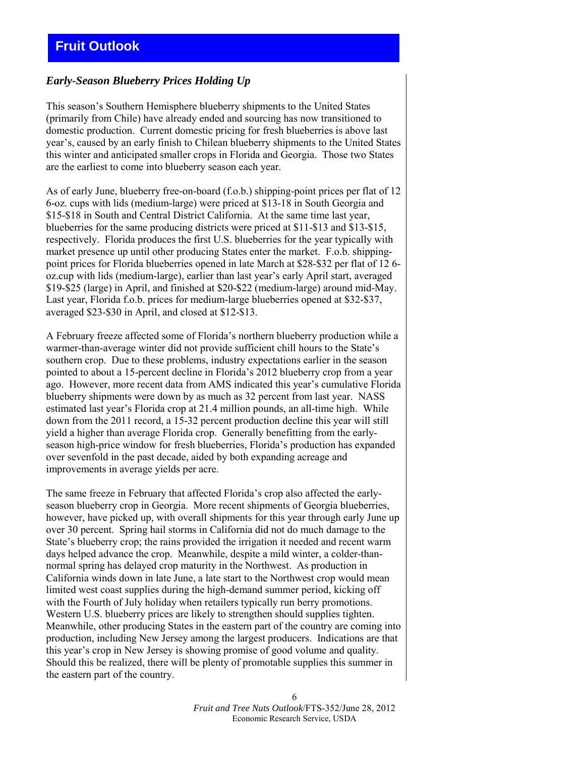# <span id="page-5-0"></span>*Early-Season Blueberry Prices Holding Up*

This season's Southern Hemisphere blueberry shipments to the United States (primarily from Chile) have already ended and sourcing has now transitioned to domestic production. Current domestic pricing for fresh blueberries is above last year's, caused by an early finish to Chilean blueberry shipments to the United States this winter and anticipated smaller crops in Florida and Georgia. Those two States are the earliest to come into blueberry season each year.

As of early June, blueberry free-on-board (f.o.b.) shipping-point prices per flat of 12 6-oz. cups with lids (medium-large) were priced at \$13-18 in South Georgia and \$15-\$18 in South and Central District California. At the same time last year, blueberries for the same producing districts were priced at \$11-\$13 and \$13-\$15, respectively. Florida produces the first U.S. blueberries for the year typically with market presence up until other producing States enter the market. F.o.b. shippingpoint prices for Florida blueberries opened in late March at \$28-\$32 per flat of 12 6 oz.cup with lids (medium-large), earlier than last year's early April start, averaged \$19-\$25 (large) in April, and finished at \$20-\$22 (medium-large) around mid-May. Last year, Florida f.o.b. prices for medium-large blueberries opened at \$32-\$37, averaged \$23-\$30 in April, and closed at \$12-\$13.

A February freeze affected some of Florida's northern blueberry production while a warmer-than-average winter did not provide sufficient chill hours to the State's southern crop. Due to these problems, industry expectations earlier in the season pointed to about a 15-percent decline in Florida's 2012 blueberry crop from a year ago. However, more recent data from AMS indicated this year's cumulative Florida blueberry shipments were down by as much as 32 percent from last year. NASS estimated last year's Florida crop at 21.4 million pounds, an all-time high. While down from the 2011 record, a 15-32 percent production decline this year will still yield a higher than average Florida crop. Generally benefitting from the earlyseason high-price window for fresh blueberries, Florida's production has expanded over sevenfold in the past decade, aided by both expanding acreage and improvements in average yields per acre.

The same freeze in February that affected Florida's crop also affected the earlyseason blueberry crop in Georgia. More recent shipments of Georgia blueberries, however, have picked up, with overall shipments for this year through early June up over 30 percent. Spring hail storms in California did not do much damage to the State's blueberry crop; the rains provided the irrigation it needed and recent warm days helped advance the crop. Meanwhile, despite a mild winter, a colder-thannormal spring has delayed crop maturity in the Northwest. As production in California winds down in late June, a late start to the Northwest crop would mean limited west coast supplies during the high-demand summer period, kicking off with the Fourth of July holiday when retailers typically run berry promotions. Western U.S. blueberry prices are likely to strengthen should supplies tighten. Meanwhile, other producing States in the eastern part of the country are coming into production, including New Jersey among the largest producers. Indications are that this year's crop in New Jersey is showing promise of good volume and quality. Should this be realized, there will be plenty of promotable supplies this summer in the eastern part of the country.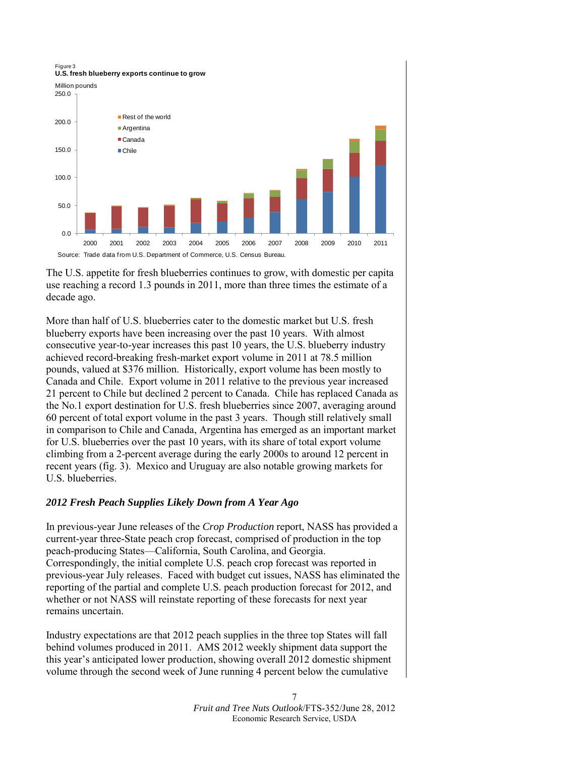

The U.S. appetite for fresh blueberries continues to grow, with domestic per capita use reaching a record 1.3 pounds in 2011, more than three times the estimate of a decade ago.

More than half of U.S. blueberries cater to the domestic market but U.S. fresh blueberry exports have been increasing over the past 10 years. With almost consecutive year-to-year increases this past 10 years, the U.S. blueberry industry achieved record-breaking fresh-market export volume in 2011 at 78.5 million pounds, valued at \$376 million. Historically, export volume has been mostly to Canada and Chile. Export volume in 2011 relative to the previous year increased 21 percent to Chile but declined 2 percent to Canada. Chile has replaced Canada as the No.1 export destination for U.S. fresh blueberries since 2007, averaging around 60 percent of total export volume in the past 3 years. Though still relatively small in comparison to Chile and Canada, Argentina has emerged as an important market for U.S. blueberries over the past 10 years, with its share of total export volume climbing from a 2-percent average during the early 2000s to around 12 percent in recent years (fig. 3). Mexico and Uruguay are also notable growing markets for U.S. blueberries.

#### *2012 Fresh Peach Supplies Likely Down from A Year Ago*

In previous-year June releases of the *Crop Production* report, NASS has provided a current-year three-State peach crop forecast, comprised of production in the top peach-producing States—California, South Carolina, and Georgia. Correspondingly, the initial complete U.S. peach crop forecast was reported in previous-year July releases. Faced with budget cut issues, NASS has eliminated the reporting of the partial and complete U.S. peach production forecast for 2012, and whether or not NASS will reinstate reporting of these forecasts for next year remains uncertain.

Industry expectations are that 2012 peach supplies in the three top States will fall behind volumes produced in 2011. AMS 2012 weekly shipment data support the this year's anticipated lower production, showing overall 2012 domestic shipment volume through the second week of June running 4 percent below the cumulative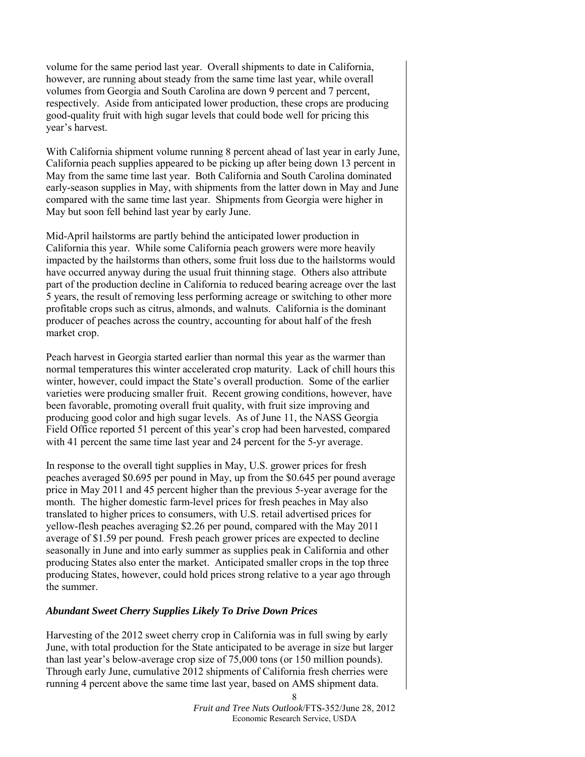volume for the same period last year. Overall shipments to date in California, however, are running about steady from the same time last year, while overall volumes from Georgia and South Carolina are down 9 percent and 7 percent, respectively. Aside from anticipated lower production, these crops are producing good-quality fruit with high sugar levels that could bode well for pricing this year's harvest.

With California shipment volume running 8 percent ahead of last year in early June, California peach supplies appeared to be picking up after being down 13 percent in May from the same time last year. Both California and South Carolina dominated early-season supplies in May, with shipments from the latter down in May and June compared with the same time last year. Shipments from Georgia were higher in May but soon fell behind last year by early June.

Mid-April hailstorms are partly behind the anticipated lower production in California this year. While some California peach growers were more heavily impacted by the hailstorms than others, some fruit loss due to the hailstorms would have occurred anyway during the usual fruit thinning stage. Others also attribute part of the production decline in California to reduced bearing acreage over the last 5 years, the result of removing less performing acreage or switching to other more profitable crops such as citrus, almonds, and walnuts. California is the dominant producer of peaches across the country, accounting for about half of the fresh market crop.

Peach harvest in Georgia started earlier than normal this year as the warmer than normal temperatures this winter accelerated crop maturity. Lack of chill hours this winter, however, could impact the State's overall production. Some of the earlier varieties were producing smaller fruit. Recent growing conditions, however, have been favorable, promoting overall fruit quality, with fruit size improving and producing good color and high sugar levels. As of June 11, the NASS Georgia Field Office reported 51 percent of this year's crop had been harvested, compared with 41 percent the same time last year and 24 percent for the 5-yr average.

In response to the overall tight supplies in May, U.S. grower prices for fresh peaches averaged \$0.695 per pound in May, up from the \$0.645 per pound average price in May 2011 and 45 percent higher than the previous 5-year average for the month. The higher domestic farm-level prices for fresh peaches in May also translated to higher prices to consumers, with U.S. retail advertised prices for yellow-flesh peaches averaging \$2.26 per pound, compared with the May 2011 average of \$1.59 per pound. Fresh peach grower prices are expected to decline seasonally in June and into early summer as supplies peak in California and other producing States also enter the market. Anticipated smaller crops in the top three producing States, however, could hold prices strong relative to a year ago through the summer.

#### *Abundant Sweet Cherry Supplies Likely To Drive Down Prices*

Harvesting of the 2012 sweet cherry crop in California was in full swing by early June, with total production for the State anticipated to be average in size but larger than last year's below-average crop size of 75,000 tons (or 150 million pounds). Through early June, cumulative 2012 shipments of California fresh cherries were running 4 percent above the same time last year, based on AMS shipment data.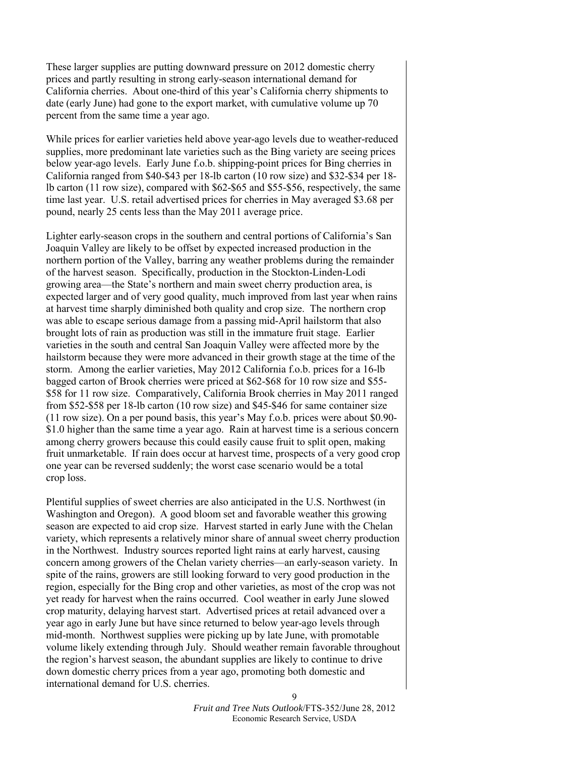These larger supplies are putting downward pressure on 2012 domestic cherry prices and partly resulting in strong early-season international demand for California cherries. About one-third of this year's California cherry shipments to date (early June) had gone to the export market, with cumulative volume up 70 percent from the same time a year ago.

While prices for earlier varieties held above year-ago levels due to weather-reduced supplies, more predominant late varieties such as the Bing variety are seeing prices below year-ago levels. Early June f.o.b. shipping-point prices for Bing cherries in California ranged from \$40-\$43 per 18-lb carton (10 row size) and \$32-\$34 per 18 lb carton (11 row size), compared with \$62-\$65 and \$55-\$56, respectively, the same time last year. U.S. retail advertised prices for cherries in May averaged \$3.68 per pound, nearly 25 cents less than the May 2011 average price.

Lighter early-season crops in the southern and central portions of California's San Joaquin Valley are likely to be offset by expected increased production in the northern portion of the Valley, barring any weather problems during the remainder of the harvest season. Specifically, production in the Stockton-Linden-Lodi growing area—the State's northern and main sweet cherry production area, is expected larger and of very good quality, much improved from last year when rains at harvest time sharply diminished both quality and crop size. The northern crop was able to escape serious damage from a passing mid-April hailstorm that also brought lots of rain as production was still in the immature fruit stage. Earlier varieties in the south and central San Joaquin Valley were affected more by the hailstorm because they were more advanced in their growth stage at the time of the storm. Among the earlier varieties, May 2012 California f.o.b. prices for a 16-lb bagged carton of Brook cherries were priced at \$62-\$68 for 10 row size and \$55- \$58 for 11 row size. Comparatively, California Brook cherries in May 2011 ranged from \$52-\$58 per 18-lb carton (10 row size) and \$45-\$46 for same container size (11 row size). On a per pound basis, this year's May f.o.b. prices were about \$0.90- \$1.0 higher than the same time a year ago. Rain at harvest time is a serious concern among cherry growers because this could easily cause fruit to split open, making fruit unmarketable. If rain does occur at harvest time, prospects of a very good crop one year can be reversed suddenly; the worst case scenario would be a total crop loss.

Plentiful supplies of sweet cherries are also anticipated in the U.S. Northwest (in Washington and Oregon). A good bloom set and favorable weather this growing season are expected to aid crop size. Harvest started in early June with the Chelan variety, which represents a relatively minor share of annual sweet cherry production in the Northwest. Industry sources reported light rains at early harvest, causing concern among growers of the Chelan variety cherries—an early-season variety. In spite of the rains, growers are still looking forward to very good production in the region, especially for the Bing crop and other varieties, as most of the crop was not yet ready for harvest when the rains occurred. Cool weather in early June slowed crop maturity, delaying harvest start. Advertised prices at retail advanced over a year ago in early June but have since returned to below year-ago levels through mid-month. Northwest supplies were picking up by late June, with promotable volume likely extending through July. Should weather remain favorable throughout the region's harvest season, the abundant supplies are likely to continue to drive down domestic cherry prices from a year ago, promoting both domestic and international demand for U.S. cherries.

> *Fruit and Tree Nuts Outlook*/FTS-352/June 28, 2012 Economic Research Service, USDA

9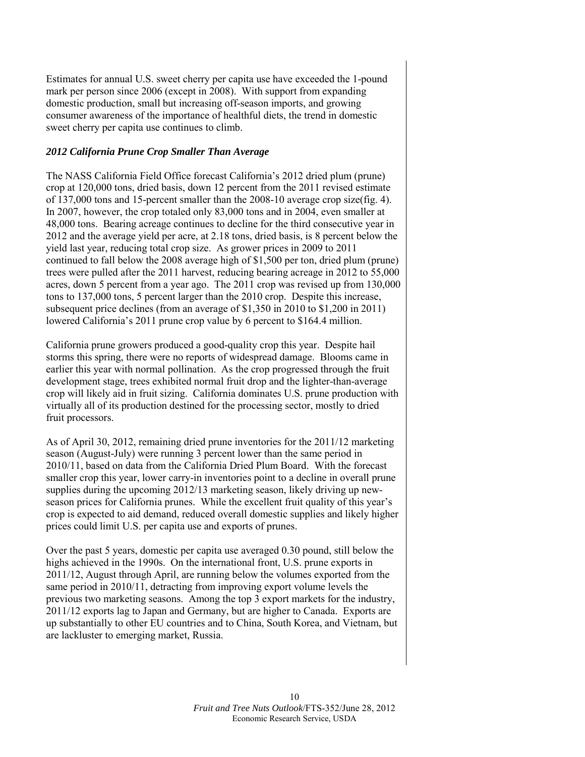Estimates for annual U.S. sweet cherry per capita use have exceeded the 1-pound mark per person since 2006 (except in 2008). With support from expanding domestic production, small but increasing off-season imports, and growing consumer awareness of the importance of healthful diets, the trend in domestic sweet cherry per capita use continues to climb.

#### *2012 California Prune Crop Smaller Than Average*

The NASS California Field Office forecast California's 2012 dried plum (prune) crop at 120,000 tons, dried basis, down 12 percent from the 2011 revised estimate of 137,000 tons and 15-percent smaller than the 2008-10 average crop size(fig. 4). In 2007, however, the crop totaled only 83,000 tons and in 2004, even smaller at 48,000 tons. Bearing acreage continues to decline for the third consecutive year in 2012 and the average yield per acre, at 2.18 tons, dried basis, is 8 percent below the yield last year, reducing total crop size. As grower prices in 2009 to 2011 continued to fall below the 2008 average high of \$1,500 per ton, dried plum (prune) trees were pulled after the 2011 harvest, reducing bearing acreage in 2012 to 55,000 acres, down 5 percent from a year ago. The 2011 crop was revised up from 130,000 tons to 137,000 tons, 5 percent larger than the 2010 crop. Despite this increase, subsequent price declines (from an average of \$1,350 in 2010 to \$1,200 in 2011) lowered California's 2011 prune crop value by 6 percent to \$164.4 million.

California prune growers produced a good-quality crop this year. Despite hail storms this spring, there were no reports of widespread damage. Blooms came in earlier this year with normal pollination. As the crop progressed through the fruit development stage, trees exhibited normal fruit drop and the lighter-than-average crop will likely aid in fruit sizing. California dominates U.S. prune production with virtually all of its production destined for the processing sector, mostly to dried fruit processors.

As of April 30, 2012, remaining dried prune inventories for the 2011/12 marketing season (August-July) were running 3 percent lower than the same period in 2010/11, based on data from the California Dried Plum Board. With the forecast smaller crop this year, lower carry-in inventories point to a decline in overall prune supplies during the upcoming 2012/13 marketing season, likely driving up newseason prices for California prunes. While the excellent fruit quality of this year's crop is expected to aid demand, reduced overall domestic supplies and likely higher prices could limit U.S. per capita use and exports of prunes.

Over the past 5 years, domestic per capita use averaged 0.30 pound, still below the highs achieved in the 1990s. On the international front, U.S. prune exports in 2011/12, August through April, are running below the volumes exported from the same period in 2010/11, detracting from improving export volume levels the previous two marketing seasons. Among the top 3 export markets for the industry, 2011/12 exports lag to Japan and Germany, but are higher to Canada. Exports are up substantially to other EU countries and to China, South Korea, and Vietnam, but are lackluster to emerging market, Russia.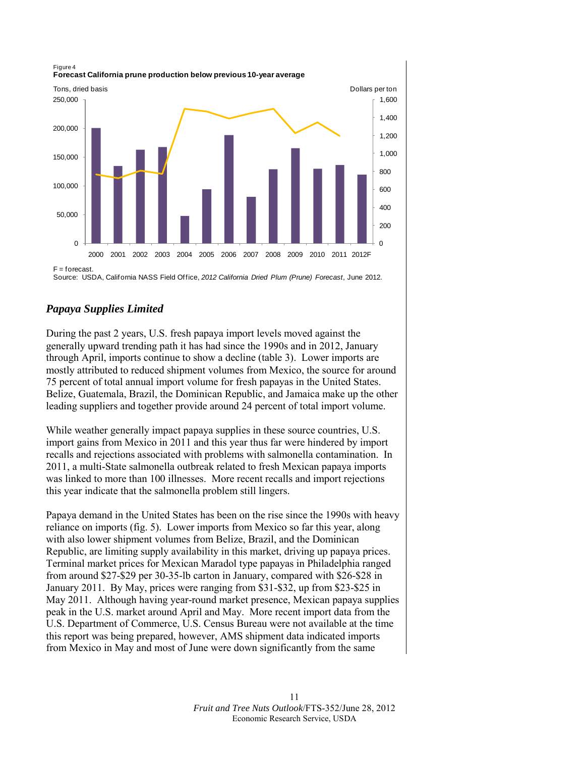

Source: USDA, California NASS Field Office, *2012 California Dried Plum (Prune) Forecast*, June 2012.

# *Papaya Supplies Limited*

During the past 2 years, U.S. fresh papaya import levels moved against the generally upward trending path it has had since the 1990s and in 2012, January through April, imports continue to show a decline (table 3). Lower imports are mostly attributed to reduced shipment volumes from Mexico, the source for around 75 percent of total annual import volume for fresh papayas in the United States. Belize, Guatemala, Brazil, the Dominican Republic, and Jamaica make up the other leading suppliers and together provide around 24 percent of total import volume.

While weather generally impact papaya supplies in these source countries, U.S. import gains from Mexico in 2011 and this year thus far were hindered by import recalls and rejections associated with problems with salmonella contamination. In 2011, a multi-State salmonella outbreak related to fresh Mexican papaya imports was linked to more than 100 illnesses. More recent recalls and import rejections this year indicate that the salmonella problem still lingers.

Papaya demand in the United States has been on the rise since the 1990s with heavy reliance on imports (fig. 5). Lower imports from Mexico so far this year, along with also lower shipment volumes from Belize, Brazil, and the Dominican Republic, are limiting supply availability in this market, driving up papaya prices. Terminal market prices for Mexican Maradol type papayas in Philadelphia ranged from around \$27-\$29 per 30-35-lb carton in January, compared with \$26-\$28 in January 2011. By May, prices were ranging from \$31-\$32, up from \$23-\$25 in May 2011. Although having year-round market presence, Mexican papaya supplies peak in the U.S. market around April and May. More recent import data from the U.S. Department of Commerce, U.S. Census Bureau were not available at the time this report was being prepared, however, AMS shipment data indicated imports from Mexico in May and most of June were down significantly from the same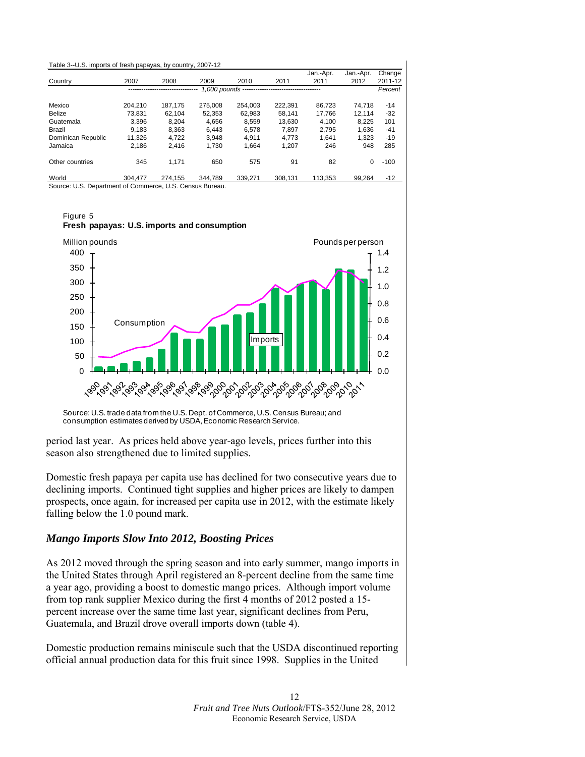<span id="page-11-0"></span>

| Table 3--U.S. imports of fresh papayas, by country, 2007-12 |         |         |         |         |         |           |           |         |
|-------------------------------------------------------------|---------|---------|---------|---------|---------|-----------|-----------|---------|
|                                                             |         |         |         |         |         | Jan.-Apr. | Jan.-Apr. | Change  |
| Country                                                     | 2007    | 2008    | 2009    | 2010    | 2011    | 2011      | 2012      | 2011-12 |
|                                                             |         |         |         |         |         |           |           | Percent |
| Mexico                                                      | 204.210 | 187.175 | 275.008 | 254.003 | 222.391 | 86.723    | 74.718    | $-14$   |
| Belize                                                      | 73.831  | 62.104  | 52.353  | 62.983  | 58.141  | 17.766    | 12.114    | $-32$   |
| Guatemala                                                   | 3.396   | 8.204   | 4.656   | 8.559   | 13.630  | 4.100     | 8.225     | 101     |
| Brazil                                                      | 9.183   | 8,363   | 6,443   | 6,578   | 7.897   | 2.795     | 1,636     | $-41$   |
| Dominican Republic                                          | 11.326  | 4.722   | 3.948   | 4.911   | 4.773   | 1.641     | 1.323     | $-19$   |
| Jamaica                                                     | 2.186   | 2.416   | 1,730   | 1,664   | 1,207   | 246       | 948       | 285     |
| Other countries                                             | 345     | 1.171   | 650     | 575     | 91      | 82        | 0         | $-100$  |
| World                                                       | 304.477 | 274.155 | 344.789 | 339.271 | 308.131 | 113,353   | 99.264    | $-12$   |
| Source: U.S. Department of Commerce, U.S. Census Bureau.    |         |         |         |         |         |           |           |         |



#### Figure 5 **Fresh papayas: U.S. imports and consumption**

Source: U.S. trade data from the U.S. Dept. of Commerce, U.S. Census Bureau; and consumption estimates derived by USDA, Economic Research Service.

period last year. As prices held above year-ago levels, prices further into this season also strengthened due to limited supplies.

Domestic fresh papaya per capita use has declined for two consecutive years due to declining imports. Continued tight supplies and higher prices are likely to dampen prospects, once again, for increased per capita use in 2012, with the estimate likely falling below the 1.0 pound mark.

# *Mango Imports Slow Into 2012, Boosting Prices*

As 2012 moved through the spring season and into early summer, mango imports in the United States through April registered an 8-percent decline from the same time a year ago, providing a boost to domestic mango prices. Although import volume from top rank supplier Mexico during the first 4 months of 2012 posted a 15 percent increase over the same time last year, significant declines from Peru, Guatemala, and Brazil drove overall imports down (table 4).

Domestic production remains miniscule such that the USDA discontinued reporting official annual production data for this fruit since 1998. Supplies in the United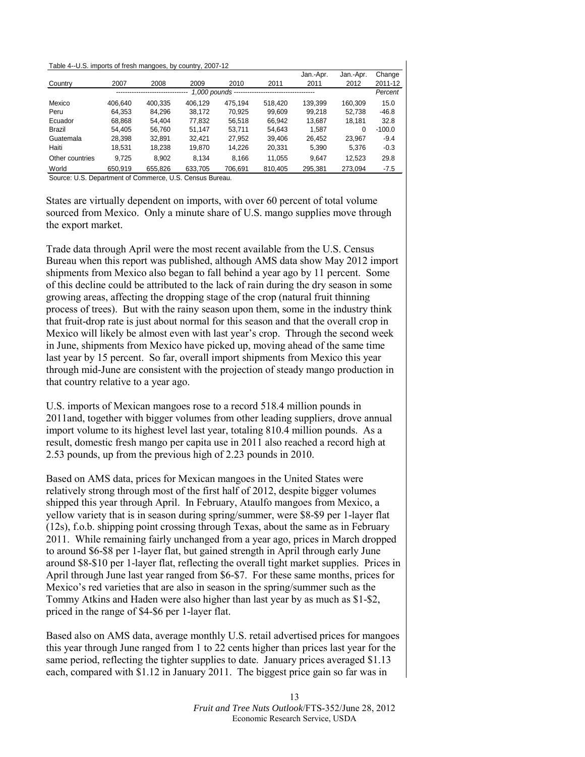#### <span id="page-12-0"></span>Table 4--U.S. imports of fresh mangoes, by country, 2007-12

|                 |         |         |         |                      |         | Jan.-Apr. | Jan.-Apr. | Change   |
|-----------------|---------|---------|---------|----------------------|---------|-----------|-----------|----------|
| Country         | 2007    | 2008    | 2009    | 2010                 | 2011    | 2011      | 2012      | 2011-12  |
|                 |         |         |         | 1.000 pounds ------- |         |           |           | Percent  |
| Mexico          | 406.640 | 400.335 | 406.129 | 475.194              | 518.420 | 139.399   | 160.309   | 15.0     |
| Peru            | 64.353  | 84.296  | 38.172  | 70.925               | 99.609  | 99.218    | 52.738    | $-46.8$  |
| Ecuador         | 68.868  | 54.404  | 77.832  | 56.518               | 66.942  | 13.687    | 18.181    | 32.8     |
| Brazil          | 54.405  | 56.760  | 51.147  | 53.711               | 54.643  | 1.587     | 0         | $-100.0$ |
| Guatemala       | 28.398  | 32.891  | 32.421  | 27.952               | 39.406  | 26.452    | 23.967    | $-9.4$   |
| Haiti           | 18,531  | 18,238  | 19,870  | 14,226               | 20,331  | 5,390     | 5,376     | $-0.3$   |
| Other countries | 9,725   | 8.902   | 8.134   | 8,166                | 11.055  | 9.647     | 12.523    | 29.8     |
| World           | 650.919 | 655.826 | 633.705 | 706.691              | 810.405 | 295.381   | 273.094   | $-7.5$   |

Source: U.S. Department of Commerce, U.S. Census Bureau.

States are virtually dependent on imports, with over 60 percent of total volume sourced from Mexico. Only a minute share of U.S. mango supplies move through the export market.

Trade data through April were the most recent available from the U.S. Census Bureau when this report was published, although AMS data show May 2012 import shipments from Mexico also began to fall behind a year ago by 11 percent. Some of this decline could be attributed to the lack of rain during the dry season in some growing areas, affecting the dropping stage of the crop (natural fruit thinning process of trees). But with the rainy season upon them, some in the industry think that fruit-drop rate is just about normal for this season and that the overall crop in Mexico will likely be almost even with last year's crop. Through the second week in June, shipments from Mexico have picked up, moving ahead of the same time last year by 15 percent. So far, overall import shipments from Mexico this year through mid-June are consistent with the projection of steady mango production in that country relative to a year ago.

U.S. imports of Mexican mangoes rose to a record 518.4 million pounds in 2011and, together with bigger volumes from other leading suppliers, drove annual import volume to its highest level last year, totaling 810.4 million pounds. As a result, domestic fresh mango per capita use in 2011 also reached a record high at 2.53 pounds, up from the previous high of 2.23 pounds in 2010.

Based on AMS data, prices for Mexican mangoes in the United States were relatively strong through most of the first half of 2012, despite bigger volumes shipped this year through April. In February, Ataulfo mangoes from Mexico, a yellow variety that is in season during spring/summer, were \$8-\$9 per 1-layer flat (12s), f.o.b. shipping point crossing through Texas, about the same as in February 2011. While remaining fairly unchanged from a year ago, prices in March dropped to around \$6-\$8 per 1-layer flat, but gained strength in April through early June around \$8-\$10 per 1-layer flat, reflecting the overall tight market supplies. Prices in April through June last year ranged from \$6-\$7. For these same months, prices for Mexico's red varieties that are also in season in the spring/summer such as the Tommy Atkins and Haden were also higher than last year by as much as \$1-\$2, priced in the range of \$4-\$6 per 1-layer flat.

Based also on AMS data, average monthly U.S. retail advertised prices for mangoes this year through June ranged from 1 to 22 cents higher than prices last year for the same period, reflecting the tighter supplies to date. January prices averaged \$1.13 each, compared with \$1.12 in January 2011. The biggest price gain so far was in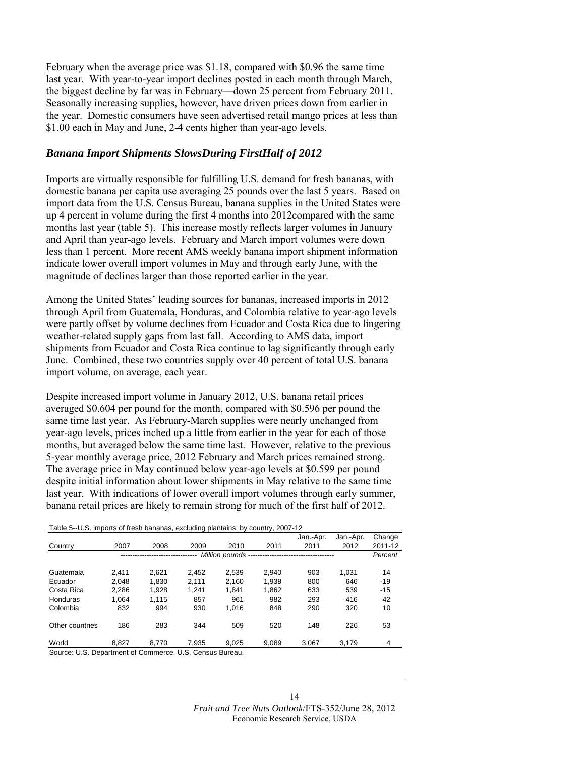<span id="page-13-0"></span>February when the average price was \$1.18, compared with \$0.96 the same time last year. With year-to-year import declines posted in each month through March, the biggest decline by far was in February—down 25 percent from February 2011. Seasonally increasing supplies, however, have driven prices down from earlier in the year. Domestic consumers have seen advertised retail mango prices at less than \$1.00 each in May and June, 2-4 cents higher than year-ago levels.

# *Banana Import Shipments SlowsDuring FirstHalf of 2012*

Imports are virtually responsible for fulfilling U.S. demand for fresh bananas, with domestic banana per capita use averaging 25 pounds over the last 5 years. Based on import data from the U.S. Census Bureau, banana supplies in the United States were up 4 percent in volume during the first 4 months into 2012compared with the same months last year (table 5). This increase mostly reflects larger volumes in January and April than year-ago levels. February and March import volumes were down less than 1 percent. More recent AMS weekly banana import shipment information indicate lower overall import volumes in May and through early June, with the magnitude of declines larger than those reported earlier in the year.

Among the United States' leading sources for bananas, increased imports in 2012 through April from Guatemala, Honduras, and Colombia relative to year-ago levels were partly offset by volume declines from Ecuador and Costa Rica due to lingering weather-related supply gaps from last fall. According to AMS data, import shipments from Ecuador and Costa Rica continue to lag significantly through early June. Combined, these two countries supply over 40 percent of total U.S. banana import volume, on average, each year.

Despite increased import volume in January 2012, U.S. banana retail prices averaged \$0.604 per pound for the month, compared with \$0.596 per pound the same time last year. As February-March supplies were nearly unchanged from year-ago levels, prices inched up a little from earlier in the year for each of those months, but averaged below the same time last. However, relative to the previous 5-year monthly average price, 2012 February and March prices remained strong. The average price in May continued below year-ago levels at \$0.599 per pound despite initial information about lower shipments in May relative to the same time last year. With indications of lower overall import volumes through early summer, banana retail prices are likely to remain strong for much of the first half of 2012.

| Table 5--U.S. imports of fresh bananas, excluding plantains, by country, 2007-12 |                                                          |       |       |       |       |                                                    |           |         |  |  |  |
|----------------------------------------------------------------------------------|----------------------------------------------------------|-------|-------|-------|-------|----------------------------------------------------|-----------|---------|--|--|--|
|                                                                                  |                                                          |       |       |       |       | Jan.-Apr.                                          | Jan.-Apr. | Change  |  |  |  |
| Country                                                                          | 2007                                                     | 2008  | 2009  | 2010  | 2011  | 2011                                               | 2012      | 2011-12 |  |  |  |
|                                                                                  |                                                          |       |       |       |       | Million pounds ----------------------------------- |           | Percent |  |  |  |
|                                                                                  |                                                          |       |       |       |       |                                                    |           |         |  |  |  |
| Guatemala                                                                        | 2.411                                                    | 2.621 | 2.452 | 2.539 | 2.940 | 903                                                | 1.031     | 14      |  |  |  |
| Ecuador                                                                          | 2.048                                                    | 1.830 | 2.111 | 2.160 | 1.938 | 800                                                | 646       | $-19$   |  |  |  |
| Costa Rica                                                                       | 2.286                                                    | 1.928 | 1.241 | 1.841 | 1.862 | 633                                                | 539       | $-15$   |  |  |  |
| Honduras                                                                         | 1.064                                                    | 1.115 | 857   | 961   | 982   | 293                                                | 416       | 42      |  |  |  |
| Colombia                                                                         | 832                                                      | 994   | 930   | 1.016 | 848   | 290                                                | 320       | 10      |  |  |  |
|                                                                                  |                                                          |       |       |       |       |                                                    |           |         |  |  |  |
| Other countries                                                                  | 186                                                      | 283   | 344   | 509   | 520   | 148                                                | 226       | 53      |  |  |  |
|                                                                                  |                                                          |       |       |       |       |                                                    |           |         |  |  |  |
| World                                                                            | 8.827                                                    | 8.770 | 7.935 | 9.025 | 9.089 | 3.067                                              | 3,179     | 4       |  |  |  |
|                                                                                  | Source: U.S. Department of Commerce, U.S. Census Bureau. |       |       |       |       |                                                    |           |         |  |  |  |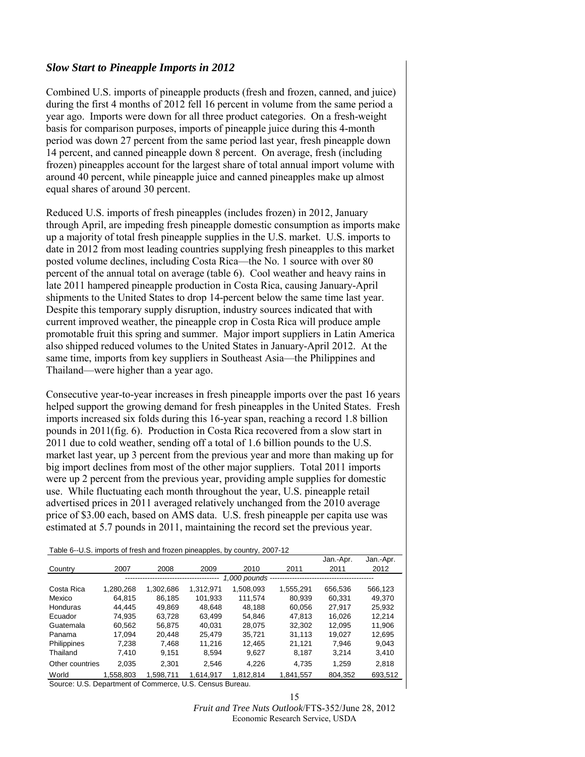#### <span id="page-14-0"></span>*Slow Start to Pineapple Imports in 2012*

Combined U.S. imports of pineapple products (fresh and frozen, canned, and juice) during the first 4 months of 2012 fell 16 percent in volume from the same period a year ago. Imports were down for all three product categories. On a fresh-weight basis for comparison purposes, imports of pineapple juice during this 4-month period was down 27 percent from the same period last year, fresh pineapple down 14 percent, and canned pineapple down 8 percent. On average, fresh (including frozen) pineapples account for the largest share of total annual import volume with around 40 percent, while pineapple juice and canned pineapples make up almost equal shares of around 30 percent.

Reduced U.S. imports of fresh pineapples (includes frozen) in 2012, January through April, are impeding fresh pineapple domestic consumption as imports make up a majority of total fresh pineapple supplies in the U.S. market. U.S. imports to date in 2012 from most leading countries supplying fresh pineapples to this market posted volume declines, including Costa Rica—the No. 1 source with over 80 percent of the annual total on average (table 6). Cool weather and heavy rains in late 2011 hampered pineapple production in Costa Rica, causing January-April shipments to the United States to drop 14-percent below the same time last year. Despite this temporary supply disruption, industry sources indicated that with current improved weather, the pineapple crop in Costa Rica will produce ample promotable fruit this spring and summer. Major import suppliers in Latin America also shipped reduced volumes to the United States in January-April 2012. At the same time, imports from key suppliers in Southeast Asia—the Philippines and Thailand—were higher than a year ago.

Consecutive year-to-year increases in fresh pineapple imports over the past 16 years helped support the growing demand for fresh pineapples in the United States. Fresh imports increased six folds during this 16-year span, reaching a record 1.8 billion pounds in 2011(fig. 6). Production in Costa Rica recovered from a slow start in 2011 due to cold weather, sending off a total of 1.6 billion pounds to the U.S. market last year, up 3 percent from the previous year and more than making up for big import declines from most of the other major suppliers. Total 2011 imports were up 2 percent from the previous year, providing ample supplies for domestic use. While fluctuating each month throughout the year, U.S. pineapple retail advertised prices in 2011 averaged relatively unchanged from the 2010 average price of \$3.00 each, based on AMS data. U.S. fresh pineapple per capita use was estimated at 5.7 pounds in 2011, maintaining the record set the previous year.

Table 6--U.S. imports of fresh and frozen pineapples, by country, 2007-12

|                 |           |           |           |                 |           | Jan.-Apr. | Jan.-Apr. |
|-----------------|-----------|-----------|-----------|-----------------|-----------|-----------|-----------|
| Country         | 2007      | 2008      | 2009      | 2010            | 2011      | 2011      | 2012      |
|                 |           |           |           | 1,000 pounds -- |           |           |           |
| Costa Rica      | 1.280.268 | 1.302.686 | 1.312.971 | 1.508.093       | 1.555.291 | 656.536   | 566.123   |
| Mexico          | 64.815    | 86.185    | 101.933   | 111.574         | 80.939    | 60.331    | 49.370    |
| Honduras        | 44.445    | 49,869    | 48.648    | 48.188          | 60,056    | 27.917    | 25.932    |
| Ecuador         | 74.935    | 63.728    | 63.499    | 54.846          | 47.813    | 16.026    | 12.214    |
| Guatemala       | 60.562    | 56.875    | 40.031    | 28.075          | 32.302    | 12.095    | 11.906    |
| Panama          | 17.094    | 20.448    | 25.479    | 35.721          | 31.113    | 19.027    | 12.695    |
| Philippines     | 7.238     | 7.468     | 11.216    | 12.465          | 21.121    | 7.946     | 9.043     |
| Thailand        | 7.410     | 9.151     | 8.594     | 9,627           | 8,187     | 3.214     | 3,410     |
| Other countries | 2,035     | 2.301     | 2.546     | 4.226           | 4.735     | 1.259     | 2.818     |
| World           | 1.558.803 | 1.598.711 | 1.614.917 | 1.812.814       | 1,841,557 | 804.352   | 693,512   |

Source: U.S. Department of Commerce, U.S. Census Bureau.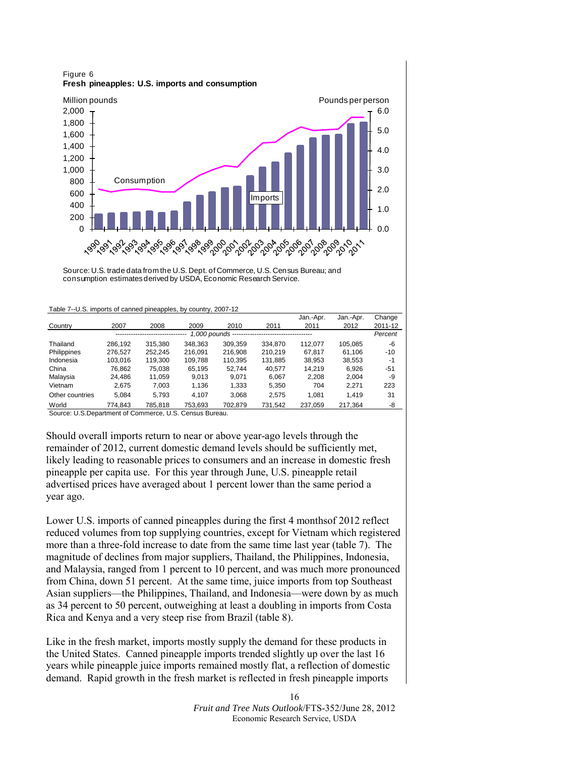

Source: U.S. trade data from the U.S. Dept. of Commerce, U.S. Census Bureau; and consumption estimates derived by USDA, Economic Research Service.

|                 |         | -------- <i>- 1</i> |                  |         |         | Jan - Apr. | Jan.-Apr. | Change  |
|-----------------|---------|---------------------|------------------|---------|---------|------------|-----------|---------|
| Country         | 2007    | 2008                | 2009             | 2010    | 2011    | 2011       | 2012      | 2011-12 |
|                 |         |                     | 1,000 pounds --- |         |         |            |           | Percent |
| Thailand        | 286.192 | 315.380             | 348.363          | 309.359 | 334,870 | 112.077    | 105.085   | -6      |
| Philippines     | 276.527 | 252.245             | 216.091          | 216,908 | 210.219 | 67.817     | 61.106    | $-10$   |
| Indonesia       | 103.016 | 119.300             | 109.788          | 110.395 | 131.885 | 38.953     | 38,553    | $-1$    |
| China           | 76.862  | 75.038              | 65.195           | 52.744  | 40.577  | 14.219     | 6.926     | -51     |
| Malaysia        | 24.486  | 11.059              | 9.013            | 9.071   | 6.067   | 2.208      | 2.004     | -9      |
| Vietnam         | 2,675   | 7,003               | 1,136            | 1,333   | 5,350   | 704        | 2,271     | 223     |
| Other countries | 5,084   | 5.793               | 4.107            | 3.068   | 2.575   | 1.081      | 1.419     | 31      |
| World           | 774.843 | 785.818             | 753.693          | 702.879 | 731.542 | 237.059    | 217.364   | -8      |

Table 7--U.S. imports of canned pineapples, by country, 2007-12

Source: U.S.Department of Commerce, U.S. Census Bureau.

Should overall imports return to near or above year-ago levels through the remainder of 2012, current domestic demand levels should be sufficiently met, likely leading to reasonable prices to consumers and an increase in domestic fresh pineapple per capita use. For this year through June, U.S. pineapple retail advertised prices have averaged about 1 percent lower than the same period a year ago.

Lower U.S. imports of canned pineapples during the first 4 monthsof 2012 reflect reduced volumes from top supplying countries, except for Vietnam which registered more than a three-fold increase to date from the same time last year (table 7). The magnitude of declines from major suppliers, Thailand, the Philippines, Indonesia, and Malaysia, ranged from 1 percent to 10 percent, and was much more pronounced from China, down 51 percent. At the same time, juice imports from top Southeast Asian suppliers—the Philippines, Thailand, and Indonesia—were down by as much as 34 percent to 50 percent, outweighing at least a doubling in imports from Costa Rica and Kenya and a very steep rise from Brazil (table 8).

Like in the fresh market, imports mostly supply the demand for these products in the United States. Canned pineapple imports trended slightly up over the last 16 years while pineapple juice imports remained mostly flat, a reflection of domestic demand. Rapid growth in the fresh market is reflected in fresh pineapple imports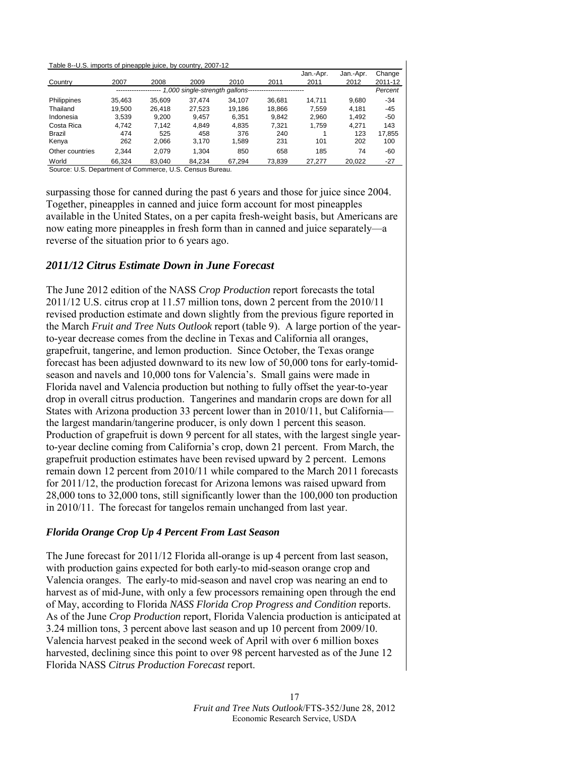| Table 8--U.S. imports of pineapple juice, by country, 2007-12 |  |  |  |
|---------------------------------------------------------------|--|--|--|

|                 |        |        |                                |        |        | Jan - Apr. | Jan.-Apr. | Change  |
|-----------------|--------|--------|--------------------------------|--------|--------|------------|-----------|---------|
| Country         | 2007   | 2008   | 2009                           | 2010   | 2011   | 2011       | 2012      | 2011-12 |
|                 |        |        | 1,000 single-strength gallons- |        |        |            |           | Percent |
| Philippines     | 35.463 | 35.609 | 37.474                         | 34.107 | 36.681 | 14.711     | 9.680     | -34     |
| Thailand        | 19.500 | 26.418 | 27.523                         | 19.186 | 18.866 | 7.559      | 4.181     | $-45$   |
| Indonesia       | 3.539  | 9.200  | 9.457                          | 6.351  | 9.842  | 2.960      | 1.492     | -50     |
| Costa Rica      | 4.742  | 7.142  | 4.849                          | 4.835  | 7.321  | 1.759      | 4.271     | 143     |
| Brazil          | 474    | 525    | 458                            | 376    | 240    |            | 123       | 17.855  |
| Kenya           | 262    | 2.066  | 3.170                          | 1,589  | 231    | 101        | 202       | 100     |
| Other countries | 2.344  | 2.079  | 1.304                          | 850    | 658    | 185        | 74        | -60     |
| World           | 66.324 | 83.040 | 84.234                         | 67.294 | 73.839 | 27.277     | 20.022    | -27     |

Source: U.S. Department of Commerce, U.S. Census Bureau.

surpassing those for canned during the past 6 years and those for juice since 2004. Together, pineapples in canned and juice form account for most pineapples available in the United States, on a per capita fresh-weight basis, but Americans are now eating more pineapples in fresh form than in canned and juice separately—a reverse of the situation prior to 6 years ago.

#### *2011/12 Citrus Estimate Down in June Forecast*

The June 2012 edition of the NASS *Crop Production* report forecasts the total 2011/12 U.S. citrus crop at 11.57 million tons, down 2 percent from the 2010/11 revised production estimate and down slightly from the previous figure reported in the March *Fruit and Tree Nuts Outlook* report (table 9). A large portion of the yearto-year decrease comes from the decline in Texas and California all oranges, grapefruit, tangerine, and lemon production. Since October, the Texas orange forecast has been adjusted downward to its new low of 50,000 tons for early-tomidseason and navels and 10,000 tons for Valencia's. Small gains were made in Florida navel and Valencia production but nothing to fully offset the year-to-year drop in overall citrus production. Tangerines and mandarin crops are down for all States with Arizona production 33 percent lower than in 2010/11, but California–– the largest mandarin/tangerine producer, is only down 1 percent this season. Production of grapefruit is down 9 percent for all states, with the largest single yearto-year decline coming from California's crop, down 21 percent. From March, the grapefruit production estimates have been revised upward by 2 percent. Lemons remain down 12 percent from 2010/11 while compared to the March 2011 forecasts for 2011/12, the production forecast for Arizona lemons was raised upward from 28,000 tons to 32,000 tons, still significantly lower than the 100,000 ton production in 2010/11. The forecast for tangelos remain unchanged from last year.

#### *Florida Orange Crop Up 4 Percent From Last Season*

The June forecast for 2011/12 Florida all-orange is up 4 percent from last season, with production gains expected for both early-to mid-season orange crop and Valencia oranges. The early-to mid-season and navel crop was nearing an end to harvest as of mid-June, with only a few processors remaining open through the end of May, according to Florida *NASS Florida Crop Progress and Condition* reports. As of the June *Crop Production* report, Florida Valencia production is anticipated at 3.24 million tons, 3 percent above last season and up 10 percent from 2009/10. Valencia harvest peaked in the second week of April with over 6 million boxes harvested, declining since this point to over 98 percent harvested as of the June 12 Florida NASS *Citrus Production Forecast* report.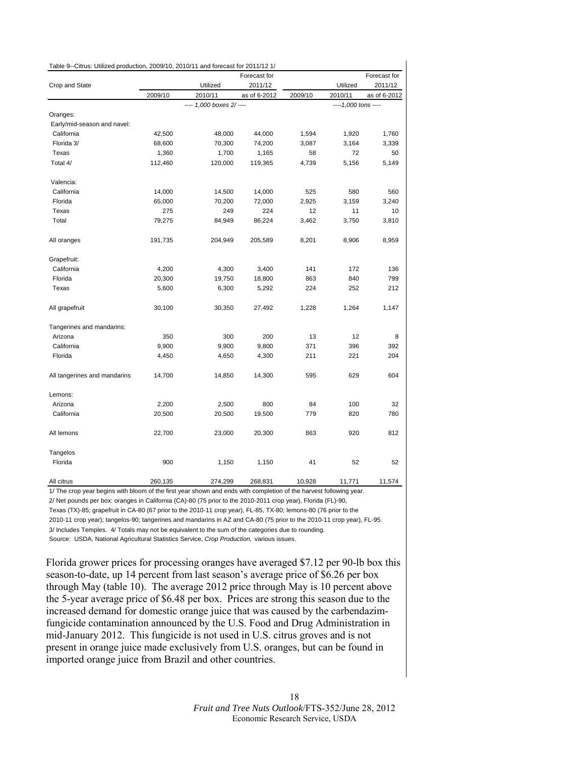<span id="page-17-0"></span>

| Table 9--Citrus: Utilized production, 2009/10, 2010/11 and forecast for 2011/12 1/ |         |                          |              |         |                      |              |
|------------------------------------------------------------------------------------|---------|--------------------------|--------------|---------|----------------------|--------------|
|                                                                                    |         |                          | Forecast for |         |                      | Forecast for |
| Crop and State                                                                     |         | Utilized                 | 2011/12      |         | Utilized             | 2011/12      |
|                                                                                    | 2009/10 | 2010/11                  | as of 6-2012 | 2009/10 | 2010/11              | as of 6-2012 |
|                                                                                    |         | ---- 1,000 boxes 2/ ---- |              |         | ---- 1,000 tons ---- |              |
| Oranges:                                                                           |         |                          |              |         |                      |              |
| Early/mid-season and navel:                                                        |         |                          |              |         |                      |              |
| California                                                                         | 42,500  | 48,000                   | 44,000       | 1,594   | 1,920                | 1,760        |
| Florida 3/                                                                         | 68,600  | 70,300                   | 74,200       | 3,087   | 3,164                | 3,339        |
| Texas                                                                              | 1,360   | 1,700                    | 1,165        | 58      | 72                   | 50           |
| Total 4/                                                                           | 112,460 | 120,000                  | 119,365      | 4,739   | 5,156                | 5,149        |
| Valencia:                                                                          |         |                          |              |         |                      |              |
| California                                                                         | 14,000  | 14,500                   | 14,000       | 525     | 580                  | 560          |
| Florida                                                                            | 65,000  | 70,200                   | 72,000       | 2,925   | 3,159                | 3,240        |
| Texas                                                                              | 275     | 249                      | 224          | 12      | 11                   | 10           |
| Total                                                                              | 79,275  | 84,949                   | 86,224       | 3,462   | 3,750                | 3,810        |
| All oranges                                                                        | 191,735 | 204,949                  | 205,589      | 8,201   | 8,906                | 8,959        |
| Grapefruit:                                                                        |         |                          |              |         |                      |              |
| California                                                                         | 4,200   | 4,300                    | 3,400        | 141     | 172                  | 136          |
| Florida                                                                            | 20,300  | 19,750                   | 18,800       | 863     | 840                  | 799          |
| Texas                                                                              | 5,600   | 6,300                    | 5,292        | 224     | 252                  | 212          |
| All grapefruit                                                                     | 30,100  | 30,350                   | 27,492       | 1,228   | 1,264                | 1,147        |
| Tangerines and mandarins:                                                          |         |                          |              |         |                      |              |
| Arizona                                                                            | 350     | 300                      | 200          | 13      | 12                   | 8            |
| California                                                                         | 9,900   | 9,900                    | 9,800        | 371     | 396                  | 392          |
| Florida                                                                            | 4,450   | 4,650                    | 4,300        | 211     | 221                  | 204          |
| All tangerines and mandarins                                                       | 14,700  | 14,850                   | 14,300       | 595     | 629                  | 604          |
| Lemons:                                                                            |         |                          |              |         |                      |              |
| Arizona                                                                            | 2,200   | 2,500                    | 800          | 84      | 100                  | 32           |
| California                                                                         | 20,500  | 20,500                   | 19,500       | 779     | 820                  | 780          |
| All lemons                                                                         | 22,700  | 23,000                   | 20,300       | 863     | 920                  | 812          |
| Tangelos                                                                           |         |                          |              |         |                      |              |
| Florida                                                                            | 900     | 1,150                    | 1,150        | 41      | 52                   | 52           |
| All citrus                                                                         | 260,135 | 274,299                  | 268,831      | 10,928  | 11,771               | 11,574       |

1/ The crop year begins with bloom of the first year shown and ends with completion of the harvest following year. 2/ Net pounds per box: oranges in California (CA)-80 (75 prior to the 2010-2011 crop year), Florida (FL)-90, Texas (TX)-85; grapefruit in CA-80 (67 prior to the 2010-11 crop year), FL-85, TX-80; lemons-80 (76 prior to the 2010-11 crop year); tangelos-90; tangerines and mandarins in AZ and CA-80 (75 prior to the 2010-11 crop year), FL-95. 3/ Includes Temples. 4/ Totals may not be equivalent to the sum of the categories due to rounding. Source: USDA, National Agricultural Statistics Service, *Crop Production,* various issues.

Florida grower prices for processing oranges have averaged \$7.12 per 90-lb box this season-to-date, up 14 percent from last season's average price of \$6.26 per box through May (table 10). The average 2012 price through May is 10 percent above the 5-year average price of \$6.48 per box. Prices are strong this season due to the increased demand for domestic orange juice that was caused by the carbendazimfungicide contamination announced by the U.S. Food and Drug Administration in mid-January 2012. This fungicide is not used in U.S. citrus groves and is not present in orange juice made exclusively from U.S. oranges, but can be found in imported orange juice from Brazil and other countries.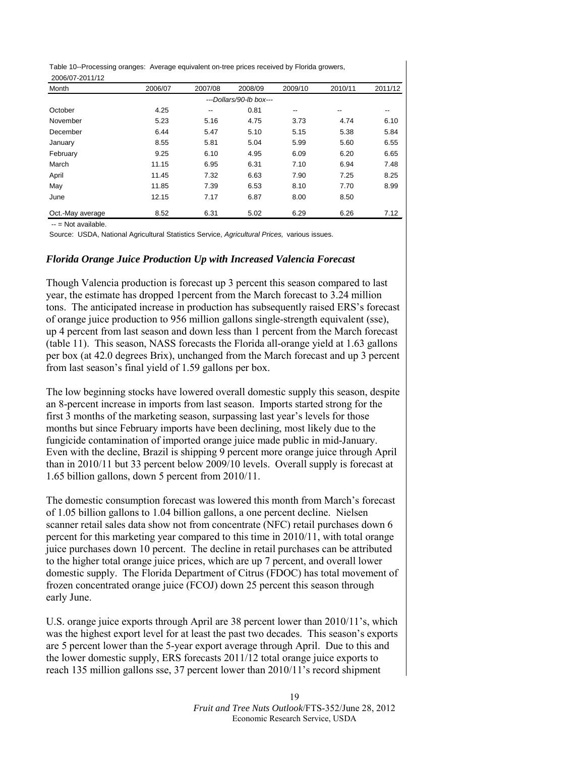Table 10--Processing oranges: Average equivalent on-tree prices received by Florida growers, 2006/07-2011/12

| Month            | 2006/07 | 2007/08                  | 2008/09                 | 2009/10 | 2010/11 | 2011/12                  |
|------------------|---------|--------------------------|-------------------------|---------|---------|--------------------------|
|                  |         |                          | ---Dollars/90-lb box--- |         |         |                          |
| October          | 4.25    | $\overline{\phantom{a}}$ | 0.81                    | --      | $-$     | $\overline{\phantom{m}}$ |
| November         | 5.23    | 5.16                     | 4.75                    | 3.73    | 4.74    | 6.10                     |
| December         | 6.44    | 5.47                     | 5.10                    | 5.15    | 5.38    | 5.84                     |
| January          | 8.55    | 5.81                     | 5.04                    | 5.99    | 5.60    | 6.55                     |
| February         | 9.25    | 6.10                     | 4.95                    | 6.09    | 6.20    | 6.65                     |
| March            | 11.15   | 6.95                     | 6.31                    | 7.10    | 6.94    | 7.48                     |
| April            | 11.45   | 7.32                     | 6.63                    | 7.90    | 7.25    | 8.25                     |
| May              | 11.85   | 7.39                     | 6.53                    | 8.10    | 7.70    | 8.99                     |
| June             | 12.15   | 7.17                     | 6.87                    | 8.00    | 8.50    |                          |
| Oct.-May average | 8.52    | 6.31                     | 5.02                    | 6.29    | 6.26    | 7.12                     |

-- = Not available.

Source: USDA, National Agricultural Statistics Service, *Agricultural Prices,* various issues.

#### *Florida Orange Juice Production Up with Increased Valencia Forecast*

Though Valencia production is forecast up 3 percent this season compared to last year, the estimate has dropped 1percent from the March forecast to 3.24 million tons. The anticipated increase in production has subsequently raised ERS's forecast of orange juice production to 956 million gallons single-strength equivalent (sse), up 4 percent from last season and down less than 1 percent from the March forecast (table 11). This season, NASS forecasts the Florida all-orange yield at 1.63 gallons per box (at 42.0 degrees Brix), unchanged from the March forecast and up 3 percent from last season's final yield of 1.59 gallons per box.

The low beginning stocks have lowered overall domestic supply this season, despite an 8-percent increase in imports from last season. Imports started strong for the first 3 months of the marketing season, surpassing last year's levels for those months but since February imports have been declining, most likely due to the fungicide contamination of imported orange juice made public in mid-January. Even with the decline, Brazil is shipping 9 percent more orange juice through April than in 2010/11 but 33 percent below 2009/10 levels. Overall supply is forecast at 1.65 billion gallons, down 5 percent from 2010/11.

The domestic consumption forecast was lowered this month from March's forecast of 1.05 billion gallons to 1.04 billion gallons, a one percent decline. Nielsen scanner retail sales data show not from concentrate (NFC) retail purchases down 6 percent for this marketing year compared to this time in 2010/11, with total orange juice purchases down 10 percent. The decline in retail purchases can be attributed to the higher total orange juice prices, which are up 7 percent, and overall lower domestic supply. The Florida Department of Citrus (FDOC) has total movement of frozen concentrated orange juice (FCOJ) down 25 percent this season through early June.

U.S. orange juice exports through April are 38 percent lower than 2010/11's, which was the highest export level for at least the past two decades. This season's exports are 5 percent lower than the 5-year export average through April. Due to this and the lower domestic supply, ERS forecasts 2011/12 total orange juice exports to reach 135 million gallons sse, 37 percent lower than 2010/11's record shipment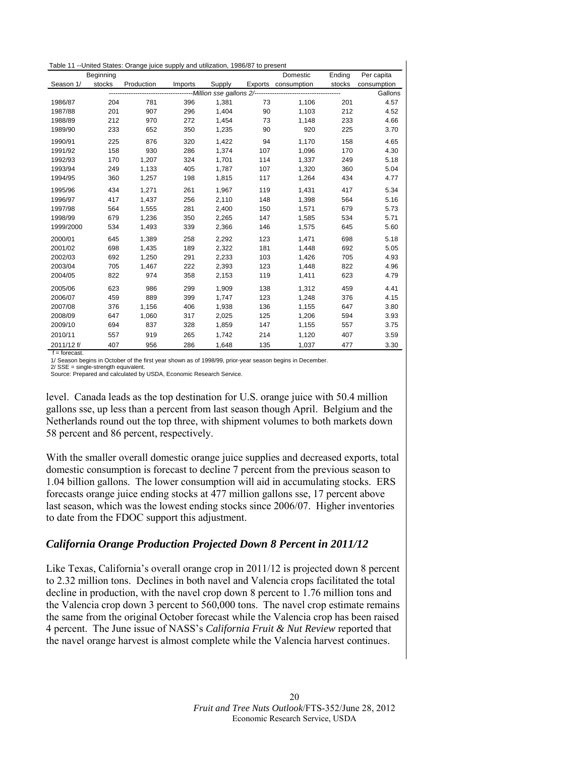<span id="page-19-0"></span>

|            |           | Table 11 --United States: Orange juice supply and utilization, 1986/87 to present |         |        |     |                     |        |             |
|------------|-----------|-----------------------------------------------------------------------------------|---------|--------|-----|---------------------|--------|-------------|
|            | Beginning |                                                                                   |         |        |     | Domestic            | Ending | Per capita  |
| Season 1/  | stocks    | Production                                                                        | Imports | Supply |     | Exports consumption | stocks | consumption |
|            |           |                                                                                   |         |        |     |                     |        | Gallons     |
| 1986/87    | 204       | 781                                                                               | 396     | 1,381  | 73  | 1,106               | 201    | 4.57        |
| 1987/88    | 201       | 907                                                                               | 296     | 1,404  | 90  | 1,103               | 212    | 4.52        |
| 1988/89    | 212       | 970                                                                               | 272     | 1,454  | 73  | 1,148               | 233    | 4.66        |
| 1989/90    | 233       | 652                                                                               | 350     | 1,235  | 90  | 920                 | 225    | 3.70        |
| 1990/91    | 225       | 876                                                                               | 320     | 1,422  | 94  | 1.170               | 158    | 4.65        |
| 1991/92    | 158       | 930                                                                               | 286     | 1,374  | 107 | 1,096               | 170    | 4.30        |
| 1992/93    | 170       | 1.207                                                                             | 324     | 1.701  | 114 | 1.337               | 249    | 5.18        |
| 1993/94    | 249       | 1,133                                                                             | 405     | 1,787  | 107 | 1,320               | 360    | 5.04        |
| 1994/95    | 360       | 1,257                                                                             | 198     | 1,815  | 117 | 1,264               | 434    | 4.77        |
| 1995/96    | 434       | 1,271                                                                             | 261     | 1,967  | 119 | 1,431               | 417    | 5.34        |
| 1996/97    | 417       | 1,437                                                                             | 256     | 2,110  | 148 | 1,398               | 564    | 5.16        |
| 1997/98    | 564       | 1,555                                                                             | 281     | 2,400  | 150 | 1,571               | 679    | 5.73        |
| 1998/99    | 679       | 1,236                                                                             | 350     | 2,265  | 147 | 1,585               | 534    | 5.71        |
| 1999/2000  | 534       | 1,493                                                                             | 339     | 2,366  | 146 | 1,575               | 645    | 5.60        |
| 2000/01    | 645       | 1,389                                                                             | 258     | 2,292  | 123 | 1.471               | 698    | 5.18        |
| 2001/02    | 698       | 1,435                                                                             | 189     | 2,322  | 181 | 1,448               | 692    | 5.05        |
| 2002/03    | 692       | 1.250                                                                             | 291     | 2,233  | 103 | 1.426               | 705    | 4.93        |
| 2003/04    | 705       | 1,467                                                                             | 222     | 2,393  | 123 | 1,448               | 822    | 4.96        |
| 2004/05    | 822       | 974                                                                               | 358     | 2,153  | 119 | 1,411               | 623    | 4.79        |
| 2005/06    | 623       | 986                                                                               | 299     | 1.909  | 138 | 1,312               | 459    | 4.41        |
| 2006/07    | 459       | 889                                                                               | 399     | 1,747  | 123 | 1,248               | 376    | 4.15        |
| 2007/08    | 376       | 1,156                                                                             | 406     | 1.938  | 136 | 1,155               | 647    | 3.80        |
| 2008/09    | 647       | 1,060                                                                             | 317     | 2,025  | 125 | 1,206               | 594    | 3.93        |
| 2009/10    | 694       | 837                                                                               | 328     | 1,859  | 147 | 1,155               | 557    | 3.75        |
| 2010/11    | 557       | 919                                                                               | 265     | 1,742  | 214 | 1,120               | 407    | 3.59        |
| 2011/12 f/ | 407       | 956                                                                               | 286     | 1.648  | 135 | 1.037               | 477    | 3.30        |

f = forecast.

 1/ Season begins in October of the first year shown as of 1998/99, prior-year season begins in December. 2/ SSE = single-strength equivalent.

Source: Prepared and calculated by USDA, Economic Research Service.

level. Canada leads as the top destination for U.S. orange juice with 50.4 million gallons sse, up less than a percent from last season though April. Belgium and the Netherlands round out the top three, with shipment volumes to both markets down 58 percent and 86 percent, respectively.

With the smaller overall domestic orange juice supplies and decreased exports, total domestic consumption is forecast to decline 7 percent from the previous season to 1.04 billion gallons. The lower consumption will aid in accumulating stocks. ERS forecasts orange juice ending stocks at 477 million gallons sse, 17 percent above last season, which was the lowest ending stocks since 2006/07. Higher inventories to date from the FDOC support this adjustment.

# *California Orange Production Projected Down 8 Percent in 2011/12*

Like Texas, California's overall orange crop in 2011/12 is projected down 8 percent to 2.32 million tons. Declines in both navel and Valencia crops facilitated the total decline in production, with the navel crop down 8 percent to 1.76 million tons and the Valencia crop down 3 percent to 560,000 tons. The navel crop estimate remains the same from the original October forecast while the Valencia crop has been raised 4 percent. The June issue of NASS's *California Fruit & Nut Review* reported that the navel orange harvest is almost complete while the Valencia harvest continues.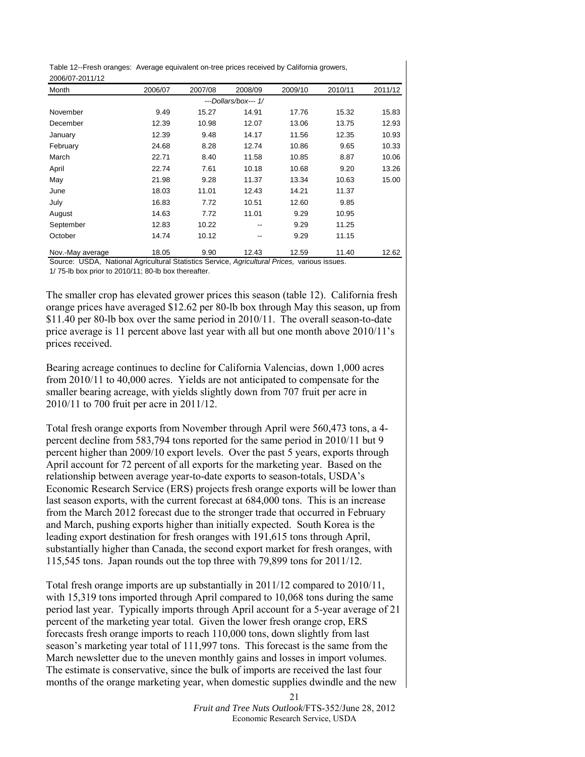Table 12--Fresh oranges: Average equivalent on-tree prices received by California growers, 2006/07-2011/12

| LUUU UI LU I I I L |         |         |                      |         |         |         |
|--------------------|---------|---------|----------------------|---------|---------|---------|
| Month              | 2006/07 | 2007/08 | 2008/09              | 2009/10 | 2010/11 | 2011/12 |
|                    |         |         | ---Dollars/box--- 1/ |         |         |         |
| November           | 9.49    | 15.27   | 14.91                | 17.76   | 15.32   | 15.83   |
| December           | 12.39   | 10.98   | 12.07                | 13.06   | 13.75   | 12.93   |
| January            | 12.39   | 9.48    | 14.17                | 11.56   | 12.35   | 10.93   |
| February           | 24.68   | 8.28    | 12.74                | 10.86   | 9.65    | 10.33   |
| March              | 22.71   | 8.40    | 11.58                | 10.85   | 8.87    | 10.06   |
| April              | 22.74   | 7.61    | 10.18                | 10.68   | 9.20    | 13.26   |
| May                | 21.98   | 9.28    | 11.37                | 13.34   | 10.63   | 15.00   |
| June               | 18.03   | 11.01   | 12.43                | 14.21   | 11.37   |         |
| July               | 16.83   | 7.72    | 10.51                | 12.60   | 9.85    |         |
| August             | 14.63   | 7.72    | 11.01                | 9.29    | 10.95   |         |
| September          | 12.83   | 10.22   | --                   | 9.29    | 11.25   |         |
| October            | 14.74   | 10.12   | --                   | 9.29    | 11.15   |         |
| Nov.-May average   | 18.05   | 9.90    | 12.43                | 12.59   | 11.40   | 12.62   |

Source: USDA, National Agricultural Statistics Service, *Agricultural Prices,* various issues. 1/ 75-lb box prior to 2010/11; 80-lb box thereafter.

The smaller crop has elevated grower prices this season (table 12). California fresh orange prices have averaged \$12.62 per 80-lb box through May this season, up from \$11.40 per 80-lb box over the same period in 2010/11. The overall season-to-date price average is 11 percent above last year with all but one month above 2010/11's prices received.

Bearing acreage continues to decline for California Valencias, down 1,000 acres from 2010/11 to 40,000 acres. Yields are not anticipated to compensate for the smaller bearing acreage, with yields slightly down from 707 fruit per acre in 2010/11 to 700 fruit per acre in 2011/12.

Total fresh orange exports from November through April were 560,473 tons, a 4 percent decline from 583,794 tons reported for the same period in 2010/11 but 9 percent higher than 2009/10 export levels. Over the past 5 years, exports through April account for 72 percent of all exports for the marketing year. Based on the relationship between average year-to-date exports to season-totals, USDA's Economic Research Service (ERS) projects fresh orange exports will be lower than last season exports, with the current forecast at 684,000 tons. This is an increase from the March 2012 forecast due to the stronger trade that occurred in February and March, pushing exports higher than initially expected. South Korea is the leading export destination for fresh oranges with 191,615 tons through April, substantially higher than Canada, the second export market for fresh oranges, with 115,545 tons. Japan rounds out the top three with 79,899 tons for 2011/12.

Total fresh orange imports are up substantially in 2011/12 compared to 2010/11, with 15,319 tons imported through April compared to 10,068 tons during the same period last year. Typically imports through April account for a 5-year average of 21 percent of the marketing year total. Given the lower fresh orange crop, ERS forecasts fresh orange imports to reach 110,000 tons, down slightly from last season's marketing year total of 111,997 tons. This forecast is the same from the March newsletter due to the uneven monthly gains and losses in import volumes. The estimate is conservative, since the bulk of imports are received the last four months of the orange marketing year, when domestic supplies dwindle and the new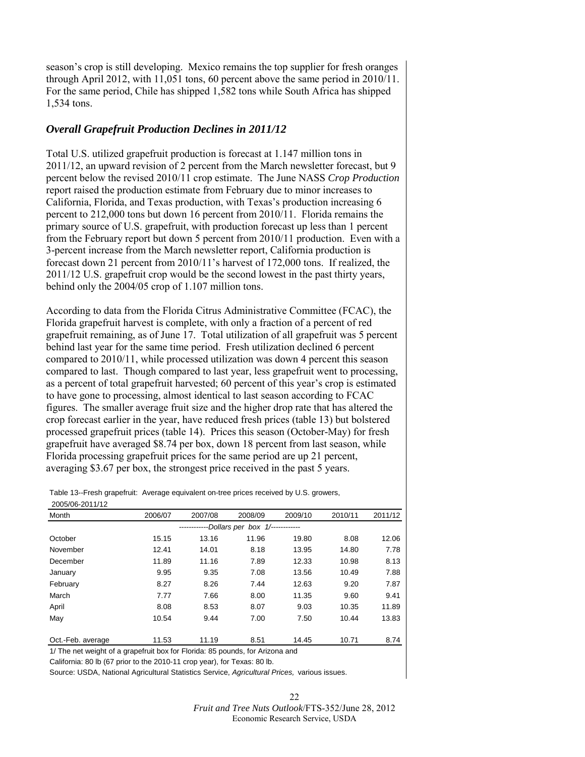season's crop is still developing. Mexico remains the top supplier for fresh oranges through April 2012, with 11,051 tons, 60 percent above the same period in 2010/11. For the same period, Chile has shipped 1,582 tons while South Africa has shipped 1,534 tons.

## *Overall Grapefruit Production Declines in 2011/12*

Total U.S. utilized grapefruit production is forecast at 1.147 million tons in 2011/12, an upward revision of 2 percent from the March newsletter forecast, but 9 percent below the revised 2010/11 crop estimate. The June NASS *Crop Production* report raised the production estimate from February due to minor increases to California, Florida, and Texas production, with Texas's production increasing 6 percent to 212,000 tons but down 16 percent from 2010/11. Florida remains the primary source of U.S. grapefruit, with production forecast up less than 1 percent from the February report but down 5 percent from 2010/11 production. Even with a 3-percent increase from the March newsletter report, California production is forecast down 21 percent from 2010/11's harvest of 172,000 tons. If realized, the 2011/12 U.S. grapefruit crop would be the second lowest in the past thirty years, behind only the 2004/05 crop of 1.107 million tons.

According to data from the Florida Citrus Administrative Committee (FCAC), the Florida grapefruit harvest is complete, with only a fraction of a percent of red grapefruit remaining, as of June 17. Total utilization of all grapefruit was 5 percent behind last year for the same time period. Fresh utilization declined 6 percent compared to 2010/11, while processed utilization was down 4 percent this season compared to last. Though compared to last year, less grapefruit went to processing, as a percent of total grapefruit harvested; 60 percent of this year's crop is estimated to have gone to processing, almost identical to last season according to FCAC figures. The smaller average fruit size and the higher drop rate that has altered the crop forecast earlier in the year, have reduced fresh prices (table 13) but bolstered processed grapefruit prices (table 14). Prices this season (October-May) for fresh grapefruit have averaged \$8.74 per box, down 18 percent from last season, while Florida processing grapefruit prices for the same period are up 21 percent, averaging \$3.67 per box, the strongest price received in the past 5 years.

Table 13--Fresh grapefruit: Average equivalent on-tree prices received by U.S. growers, 2005/06-2011/12

| Month             | 2006/07 | 2007/08 | 2008/09                         | 2009/10 | 2010/11 | 2011/12 |
|-------------------|---------|---------|---------------------------------|---------|---------|---------|
|                   |         |         | -Dollars per box 1/------------ |         |         |         |
| October           | 15.15   | 13.16   | 11.96                           | 19.80   | 8.08    | 12.06   |
| November          | 12.41   | 14.01   | 8.18                            | 13.95   | 14.80   | 7.78    |
| December          | 11.89   | 11.16   | 7.89                            | 12.33   | 10.98   | 8.13    |
| January           | 9.95    | 9.35    | 7.08                            | 13.56   | 10.49   | 7.88    |
| February          | 8.27    | 8.26    | 7.44                            | 12.63   | 9.20    | 7.87    |
| March             | 7.77    | 7.66    | 8.00                            | 11.35   | 9.60    | 9.41    |
| April             | 8.08    | 8.53    | 8.07                            | 9.03    | 10.35   | 11.89   |
| May               | 10.54   | 9.44    | 7.00                            | 7.50    | 10.44   | 13.83   |
|                   |         |         |                                 |         |         |         |
| Oct.-Feb. average | 11.53   | 11.19   | 8.51                            | 14.45   | 10.71   | 8.74    |

1/ The net weight of a grapefruit box for Florida: 85 pounds, for Arizona and

California: 80 lb (67 prior to the 2010-11 crop year), for Texas: 80 lb.

Source: USDA, National Agricultural Statistics Service, *Agricultural Prices,* various issues.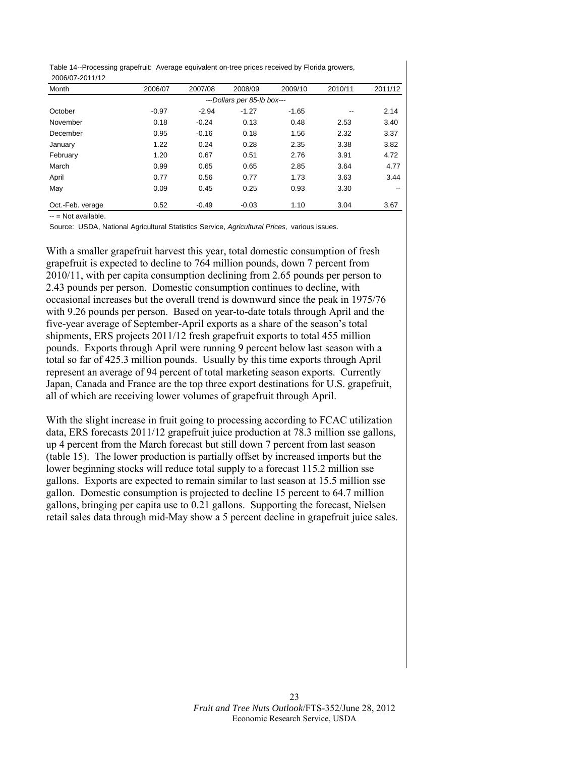Table 14--Processing grapefruit: Average equivalent on-tree prices received by Florida growers, 2006/07-2011/12

| Month            | 2006/07 | 2007/08 | 2008/09                     | 2009/10 | 2010/11 | 2011/12                  |
|------------------|---------|---------|-----------------------------|---------|---------|--------------------------|
|                  |         |         | ---Dollars per 85-lb box--- |         |         |                          |
| October          | $-0.97$ | $-2.94$ | $-1.27$                     | $-1.65$ | --      | 2.14                     |
| November         | 0.18    | $-0.24$ | 0.13                        | 0.48    | 2.53    | 3.40                     |
| December         | 0.95    | $-0.16$ | 0.18                        | 1.56    | 2.32    | 3.37                     |
| January          | 1.22    | 0.24    | 0.28                        | 2.35    | 3.38    | 3.82                     |
| February         | 1.20    | 0.67    | 0.51                        | 2.76    | 3.91    | 4.72                     |
| March            | 0.99    | 0.65    | 0.65                        | 2.85    | 3.64    | 4.77                     |
| April            | 0.77    | 0.56    | 0.77                        | 1.73    | 3.63    | 3.44                     |
| May              | 0.09    | 0.45    | 0.25                        | 0.93    | 3.30    | $\overline{\phantom{a}}$ |
| Oct.-Feb. verage | 0.52    | $-0.49$ | $-0.03$                     | 1.10    | 3.04    | 3.67                     |

-- = Not available.

Source: USDA, National Agricultural Statistics Service, *Agricultural Prices,* various issues.

With a smaller grapefruit harvest this year, total domestic consumption of fresh grapefruit is expected to decline to 764 million pounds, down 7 percent from 2010/11, with per capita consumption declining from 2.65 pounds per person to 2.43 pounds per person. Domestic consumption continues to decline, with occasional increases but the overall trend is downward since the peak in 1975/76 with 9.26 pounds per person. Based on year-to-date totals through April and the five-year average of September-April exports as a share of the season's total shipments, ERS projects 2011/12 fresh grapefruit exports to total 455 million pounds. Exports through April were running 9 percent below last season with a total so far of 425.3 million pounds. Usually by this time exports through April represent an average of 94 percent of total marketing season exports. Currently Japan, Canada and France are the top three export destinations for U.S. grapefruit, all of which are receiving lower volumes of grapefruit through April.

With the slight increase in fruit going to processing according to FCAC utilization data, ERS forecasts 2011/12 grapefruit juice production at 78.3 million sse gallons, up 4 percent from the March forecast but still down 7 percent from last season (table 15). The lower production is partially offset by increased imports but the lower beginning stocks will reduce total supply to a forecast 115.2 million sse gallons. Exports are expected to remain similar to last season at 15.5 million sse gallon. Domestic consumption is projected to decline 15 percent to 64.7 million gallons, bringing per capita use to 0.21 gallons. Supporting the forecast, Nielsen retail sales data through mid-May show a 5 percent decline in grapefruit juice sales.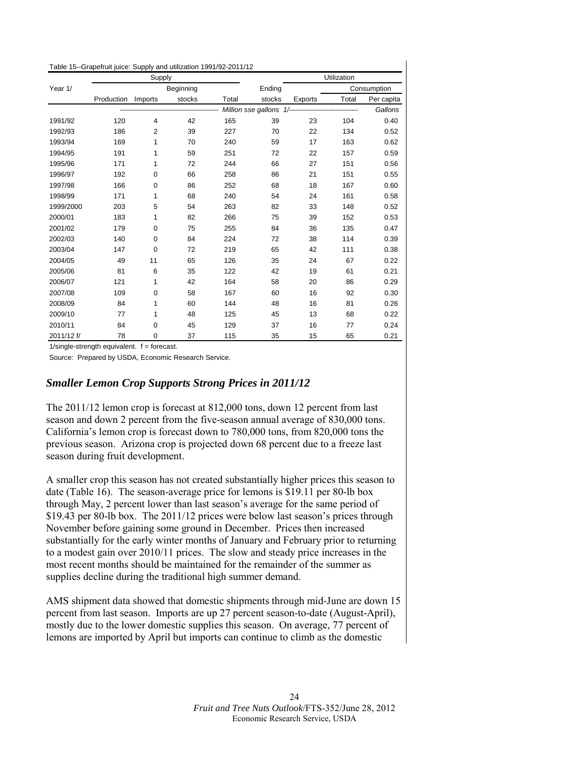<span id="page-23-0"></span>

| Table 15--Grapefruit juice: Supply and utilization 1991/92-2011/12 |  |
|--------------------------------------------------------------------|--|
|--------------------------------------------------------------------|--|

|            |            | Supply         |               |       |                                                     |         | Utilization |             |
|------------|------------|----------------|---------------|-------|-----------------------------------------------------|---------|-------------|-------------|
| Year 1/    |            |                | Beginning     |       | Ending                                              |         |             | Consumption |
|            | Production | Imports        | stocks        | Total | stocks                                              | Exports | Total       | Per capita  |
|            |            |                | ------------- |       | Million sse gallons 1/----------------------------- |         |             | Gallons     |
| 1991/92    | 120        | $\overline{4}$ | 42            | 165   | 39                                                  | 23      | 104         | 0.40        |
| 1992/93    | 186        | $\overline{2}$ | 39            | 227   | 70                                                  | 22      | 134         | 0.52        |
| 1993/94    | 169        | 1              | 70            | 240   | 59                                                  | 17      | 163         | 0.62        |
| 1994/95    | 191        | 1              | 59            | 251   | 72                                                  | 22      | 157         | 0.59        |
| 1995/96    | 171        | 1              | 72            | 244   | 66                                                  | 27      | 151         | 0.56        |
| 1996/97    | 192        | 0              | 66            | 258   | 86                                                  | 21      | 151         | 0.55        |
| 1997/98    | 166        | 0              | 86            | 252   | 68                                                  | 18      | 167         | 0.60        |
| 1998/99    | 171        | 1              | 68            | 240   | 54                                                  | 24      | 161         | 0.58        |
| 1999/2000  | 203        | 5              | 54            | 263   | 82                                                  | 33      | 148         | 0.52        |
| 2000/01    | 183        | 1              | 82            | 266   | 75                                                  | 39      | 152         | 0.53        |
| 2001/02    | 179        | 0              | 75            | 255   | 84                                                  | 36      | 135         | 0.47        |
| 2002/03    | 140        | $\mathbf 0$    | 84            | 224   | 72                                                  | 38      | 114         | 0.39        |
| 2003/04    | 147        | 0              | 72            | 219   | 65                                                  | 42      | 111         | 0.38        |
| 2004/05    | 49         | 11             | 65            | 126   | 35                                                  | 24      | 67          | 0.22        |
| 2005/06    | 81         | 6              | 35            | 122   | 42                                                  | 19      | 61          | 0.21        |
| 2006/07    | 121        | 1              | 42            | 164   | 58                                                  | 20      | 86          | 0.29        |
| 2007/08    | 109        | 0              | 58            | 167   | 60                                                  | 16      | 92          | 0.30        |
| 2008/09    | 84         | 1              | 60            | 144   | 48                                                  | 16      | 81          | 0.26        |
| 2009/10    | 77         | 1              | 48            | 125   | 45                                                  | 13      | 68          | 0.22        |
| 2010/11    | 84         | $\mathbf 0$    | 45            | 129   | 37                                                  | 16      | 77          | 0.24        |
| 2011/12 f/ | 78         | $\mathbf 0$    | 37            | 115   | 35                                                  | 15      | 65          | 0.21        |

 $1/single-strength$  equivalent.  $f = forecast$ .

Source: Prepared by USDA, Economic Research Service.

#### *Smaller Lemon Crop Supports Strong Prices in 2011/12*

The 2011/12 lemon crop is forecast at 812,000 tons, down 12 percent from last season and down 2 percent from the five-season annual average of 830,000 tons. California's lemon crop is forecast down to 780,000 tons, from 820,000 tons the previous season. Arizona crop is projected down 68 percent due to a freeze last season during fruit development.

A smaller crop this season has not created substantially higher prices this season to date (Table 16). The season-average price for lemons is \$19.11 per 80-lb box through May, 2 percent lower than last season's average for the same period of \$19.43 per 80-lb box. The 2011/12 prices were below last season's prices through November before gaining some ground in December. Prices then increased substantially for the early winter months of January and February prior to returning to a modest gain over 2010/11 prices. The slow and steady price increases in the most recent months should be maintained for the remainder of the summer as supplies decline during the traditional high summer demand.

AMS shipment data showed that domestic shipments through mid-June are down 15 percent from last season. Imports are up 27 percent season-to-date (August-April), mostly due to the lower domestic supplies this season. On average, 77 percent of lemons are imported by April but imports can continue to climb as the domestic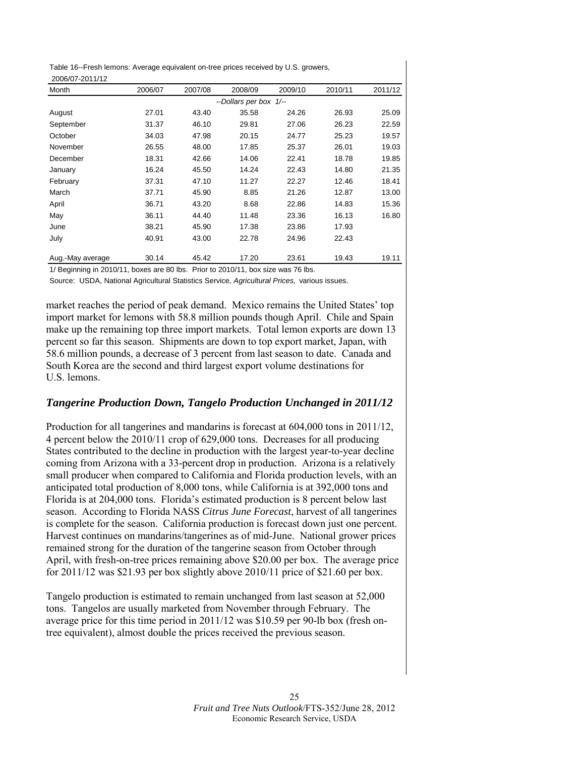Table 16--Fresh lemons: Average equivalent on-tree prices received by U.S. growers, 2006/07-2011/12

| Month            | 2006/07 | 2007/08 | 2008/09                | 2009/10 | 2010/11 | 2011/12 |
|------------------|---------|---------|------------------------|---------|---------|---------|
|                  |         |         | --Dollars per box 1/-- |         |         |         |
| August           | 27.01   | 43.40   | 35.58                  | 24.26   | 26.93   | 25.09   |
| September        | 31.37   | 46.10   | 29.81                  | 27.06   | 26.23   | 22.59   |
| October          | 34.03   | 47.98   | 20.15                  | 24.77   | 25.23   | 19.57   |
| November         | 26.55   | 48.00   | 17.85                  | 25.37   | 26.01   | 19.03   |
| December         | 18.31   | 42.66   | 14.06                  | 22.41   | 18.78   | 19.85   |
| January          | 16.24   | 45.50   | 14.24                  | 22.43   | 14.80   | 21.35   |
| February         | 37.31   | 47.10   | 11.27                  | 22.27   | 12.46   | 18.41   |
| March            | 37.71   | 45.90   | 8.85                   | 21.26   | 12.87   | 13.00   |
| April            | 36.71   | 43.20   | 8.68                   | 22.86   | 14.83   | 15.36   |
| May              | 36.11   | 44.40   | 11.48                  | 23.36   | 16.13   | 16.80   |
| June             | 38.21   | 45.90   | 17.38                  | 23.86   | 17.93   |         |
| July             | 40.91   | 43.00   | 22.78                  | 24.96   | 22.43   |         |
| Aug.-May average | 30.14   | 45.42   | 17.20                  | 23.61   | 19.43   | 19.11   |

1/ Beginning in 2010/11, boxes are 80 lbs. Prior to 2010/11, box size was 76 lbs.

Source: USDA, National Agricultural Statistics Service, *Agricultural Prices,* various issues.

market reaches the period of peak demand. Mexico remains the United States' top import market for lemons with 58.8 million pounds though April. Chile and Spain make up the remaining top three import markets. Total lemon exports are down 13 percent so far this season. Shipments are down to top export market, Japan, with 58.6 million pounds, a decrease of 3 percent from last season to date. Canada and South Korea are the second and third largest export volume destinations for U.S. lemons.

# *Tangerine Production Down, Tangelo Production Unchanged in 2011/12*

Production for all tangerines and mandarins is forecast at 604,000 tons in 2011/12, 4 percent below the 2010/11 crop of 629,000 tons. Decreases for all producing States contributed to the decline in production with the largest year-to-year decline coming from Arizona with a 33-percent drop in production. Arizona is a relatively small producer when compared to California and Florida production levels, with an anticipated total production of 8,000 tons, while California is at 392,000 tons and Florida is at 204,000 tons. Florida's estimated production is 8 percent below last season. According to Florida NASS *Citrus June Forecast*, harvest of all tangerines is complete for the season. California production is forecast down just one percent. Harvest continues on mandarins/tangerines as of mid-June. National grower prices remained strong for the duration of the tangerine season from October through April, with fresh-on-tree prices remaining above \$20.00 per box. The average price for  $2011/12$  was \$21.93 per box slightly above  $2010/11$  price of \$21.60 per box.

Tangelo production is estimated to remain unchanged from last season at 52,000 tons. Tangelos are usually marketed from November through February. The average price for this time period in 2011/12 was \$10.59 per 90-lb box (fresh ontree equivalent), almost double the prices received the previous season.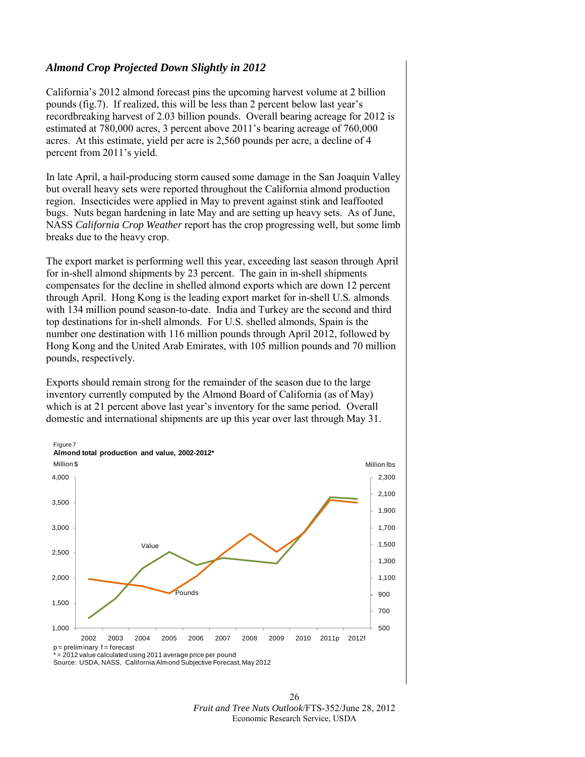# *Almond Crop Projected Down Slightly in 2012*

California's 2012 almond forecast pins the upcoming harvest volume at 2 billion pounds (fig.7). If realized, this will be less than 2 percent below last year's recordbreaking harvest of 2.03 billion pounds. Overall bearing acreage for 2012 is estimated at 780,000 acres, 3 percent above 2011's bearing acreage of 760,000 acres. At this estimate, yield per acre is 2,560 pounds per acre, a decline of 4 percent from 2011's yield.

In late April, a hail-producing storm caused some damage in the San Joaquin Valley but overall heavy sets were reported throughout the California almond production region. Insecticides were applied in May to prevent against stink and leaffooted bugs. Nuts began hardening in late May and are setting up heavy sets. As of June, NASS *California Crop Weather* report has the crop progressing well, but some limb breaks due to the heavy crop.

The export market is performing well this year, exceeding last season through April for in-shell almond shipments by 23 percent. The gain in in-shell shipments compensates for the decline in shelled almond exports which are down 12 percent through April. Hong Kong is the leading export market for in-shell U.S. almonds with 134 million pound season-to-date. India and Turkey are the second and third top destinations for in-shell almonds. For U.S. shelled almonds, Spain is the number one destination with 116 million pounds through April 2012, followed by Hong Kong and the United Arab Emirates, with 105 million pounds and 70 million pounds, respectively.

Exports should remain strong for the remainder of the season due to the large inventory currently computed by the Almond Board of California (as of May) which is at 21 percent above last year's inventory for the same period. Overall domestic and international shipments are up this year over last through May 31.



26 *Fruit and Tree Nuts Outlook*/FTS-352/June 28, 2012 Economic Research Service, USDA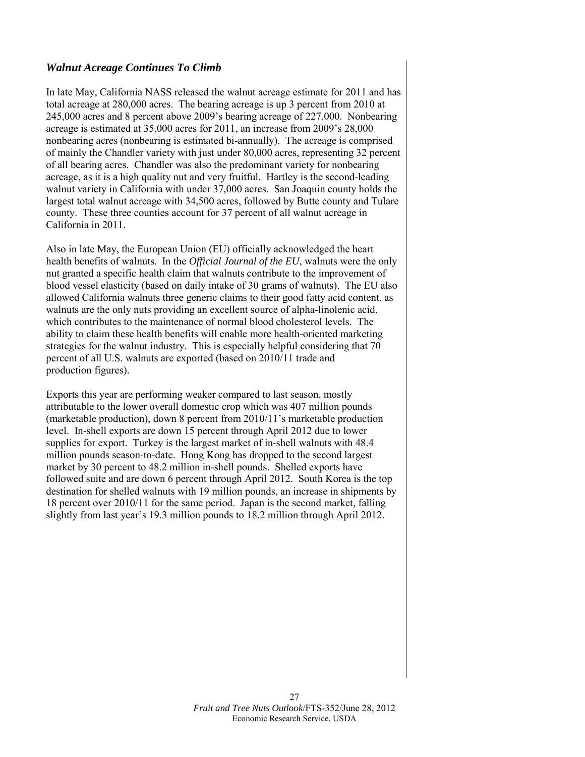# *Walnut Acreage Continues To Climb*

In late May, California NASS released the walnut acreage estimate for 2011 and has total acreage at 280,000 acres. The bearing acreage is up 3 percent from 2010 at 245,000 acres and 8 percent above 2009's bearing acreage of 227,000. Nonbearing acreage is estimated at 35,000 acres for 2011, an increase from 2009's 28,000 nonbearing acres (nonbearing is estimated bi-annually). The acreage is comprised of mainly the Chandler variety with just under 80,000 acres, representing 32 percent of all bearing acres. Chandler was also the predominant variety for nonbearing acreage, as it is a high quality nut and very fruitful. Hartley is the second-leading walnut variety in California with under 37,000 acres. San Joaquin county holds the largest total walnut acreage with 34,500 acres, followed by Butte county and Tulare county. These three counties account for 37 percent of all walnut acreage in California in 2011.

Also in late May, the European Union (EU) officially acknowledged the heart health benefits of walnuts. In the *Official Journal of the EU*, walnuts were the only nut granted a specific health claim that walnuts contribute to the improvement of blood vessel elasticity (based on daily intake of 30 grams of walnuts). The EU also allowed California walnuts three generic claims to their good fatty acid content, as walnuts are the only nuts providing an excellent source of alpha-linolenic acid, which contributes to the maintenance of normal blood cholesterol levels. The ability to claim these health benefits will enable more health-oriented marketing strategies for the walnut industry. This is especially helpful considering that 70 percent of all U.S. walnuts are exported (based on 2010/11 trade and production figures).

Exports this year are performing weaker compared to last season, mostly attributable to the lower overall domestic crop which was 407 million pounds (marketable production), down 8 percent from 2010/11's marketable production level. In-shell exports are down 15 percent through April 2012 due to lower supplies for export. Turkey is the largest market of in-shell walnuts with 48.4 million pounds season-to-date. Hong Kong has dropped to the second largest market by 30 percent to 48.2 million in-shell pounds. Shelled exports have followed suite and are down 6 percent through April 2012. South Korea is the top destination for shelled walnuts with 19 million pounds, an increase in shipments by 18 percent over 2010/11 for the same period. Japan is the second market, falling slightly from last year's 19.3 million pounds to 18.2 million through April 2012.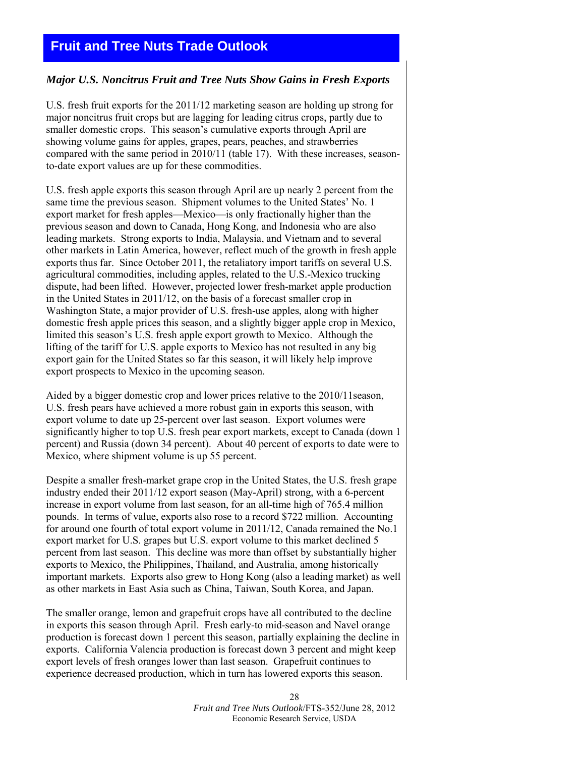# <span id="page-27-0"></span>**Fruit and Tree Nuts Trade Outlook**

#### *Major U.S. Noncitrus Fruit and Tree Nuts Show Gains in Fresh Exports*

U.S. fresh fruit exports for the 2011/12 marketing season are holding up strong for major noncitrus fruit crops but are lagging for leading citrus crops, partly due to smaller domestic crops. This season's cumulative exports through April are showing volume gains for apples, grapes, pears, peaches, and strawberries compared with the same period in 2010/11 (table 17). With these increases, seasonto-date export values are up for these commodities.

U.S. fresh apple exports this season through April are up nearly 2 percent from the same time the previous season. Shipment volumes to the United States' No. 1 export market for fresh apples—Mexico—is only fractionally higher than the previous season and down to Canada, Hong Kong, and Indonesia who are also leading markets. Strong exports to India, Malaysia, and Vietnam and to several other markets in Latin America, however, reflect much of the growth in fresh apple exports thus far. Since October 2011, the retaliatory import tariffs on several U.S. agricultural commodities, including apples, related to the U.S.-Mexico trucking dispute, had been lifted. However, projected lower fresh-market apple production in the United States in 2011/12, on the basis of a forecast smaller crop in Washington State, a major provider of U.S. fresh-use apples, along with higher domestic fresh apple prices this season, and a slightly bigger apple crop in Mexico, limited this season's U.S. fresh apple export growth to Mexico. Although the lifting of the tariff for U.S. apple exports to Mexico has not resulted in any big export gain for the United States so far this season, it will likely help improve export prospects to Mexico in the upcoming season.

Aided by a bigger domestic crop and lower prices relative to the 2010/11season, U.S. fresh pears have achieved a more robust gain in exports this season, with export volume to date up 25-percent over last season. Export volumes were significantly higher to top U.S. fresh pear export markets, except to Canada (down 1 percent) and Russia (down 34 percent). About 40 percent of exports to date were to Mexico, where shipment volume is up 55 percent.

Despite a smaller fresh-market grape crop in the United States, the U.S. fresh grape industry ended their 2011/12 export season (May-April) strong, with a 6-percent increase in export volume from last season, for an all-time high of 765.4 million pounds. In terms of value, exports also rose to a record \$722 million. Accounting for around one fourth of total export volume in 2011/12, Canada remained the No.1 export market for U.S. grapes but U.S. export volume to this market declined 5 percent from last season. This decline was more than offset by substantially higher exports to Mexico, the Philippines, Thailand, and Australia, among historically important markets. Exports also grew to Hong Kong (also a leading market) as well as other markets in East Asia such as China, Taiwan, South Korea, and Japan.

The smaller orange, lemon and grapefruit crops have all contributed to the decline in exports this season through April. Fresh early-to mid-season and Navel orange production is forecast down 1 percent this season, partially explaining the decline in exports. California Valencia production is forecast down 3 percent and might keep export levels of fresh oranges lower than last season. Grapefruit continues to experience decreased production, which in turn has lowered exports this season.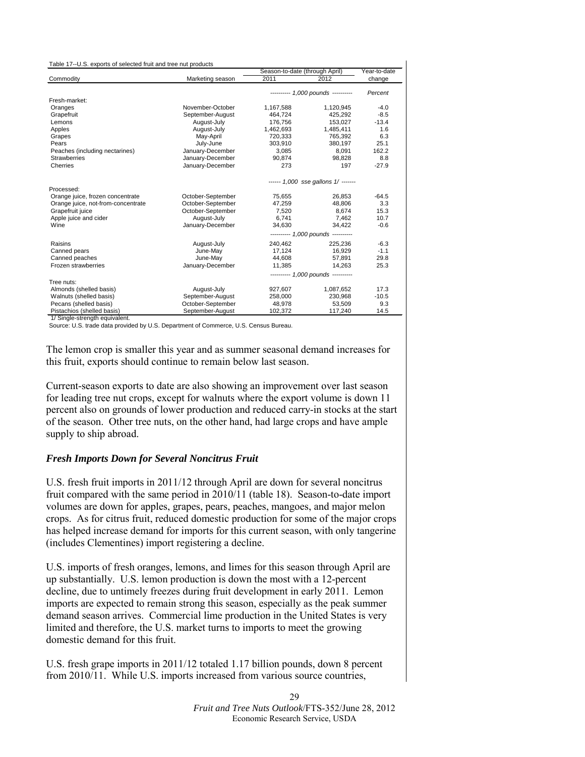<span id="page-28-0"></span>

| Table 17--U.S. exports of selected fruit and tree nut products |                   |                                |                                     |              |
|----------------------------------------------------------------|-------------------|--------------------------------|-------------------------------------|--------------|
|                                                                |                   | Season-to-date (through April) |                                     | Year-to-date |
| Commodity                                                      | Marketing season  | 2011                           | 2012                                | change       |
|                                                                |                   |                                | --------- 1,000 pounds ----------   | Percent      |
| Fresh-market:                                                  |                   |                                |                                     |              |
| Oranges                                                        | November-October  | 1,167,588                      | 1,120,945                           | $-4.0$       |
| Grapefruit                                                     | September-August  | 464.724                        | 425.292                             | $-8.5$       |
| Lemons                                                         | August-July       | 176.756                        | 153.027                             | $-13.4$      |
| Apples                                                         | August-July       | 1,462,693                      | 1,485,411                           | 1.6          |
| Grapes                                                         | May-April         | 720,333                        | 765.392                             | 6.3          |
| Pears                                                          | July-June         | 303,910                        | 380,197                             | 25.1         |
| Peaches (including nectarines)                                 | January-December  | 3,085                          | 8,091                               | 162.2        |
| <b>Strawberries</b>                                            | January-December  | 90,874                         | 98.828                              | 8.8          |
| Cherries                                                       | January-December  | 273                            | 197                                 | $-27.9$      |
|                                                                |                   |                                | ------ 1,000 sse gallons 1/ ------- |              |
| Processed:                                                     |                   |                                |                                     |              |
| Orange juice, frozen concentrate                               | October-September | 75,655                         | 26,853                              | $-64.5$      |
| Orange juice, not-from-concentrate                             | October-September | 47,259                         | 48.806                              | 3.3          |
| Grapefruit juice                                               | October-September | 7,520                          | 8.674                               | 15.3         |
| Apple juice and cider                                          | August-July       | 6,741                          | 7,462                               | 10.7         |
| Wine                                                           | January-December  | 34,630                         | 34.422                              | $-0.6$       |
|                                                                |                   |                                | --------- 1,000 pounds ----------   |              |
| Raisins                                                        | August-July       | 240,462                        | 225,236                             | $-6.3$       |
| Canned pears                                                   | June-May          | 17.124                         | 16.929                              | $-1.1$       |
| Canned peaches                                                 | June-May          | 44,608                         | 57,891                              | 29.8         |
| Frozen strawberries                                            | January-December  | 11.385                         | 14.263                              | 25.3         |
|                                                                |                   |                                | --------- 1,000 pounds ---------    |              |
| Tree nuts:                                                     |                   |                                |                                     |              |
| Almonds (shelled basis)                                        | August-July       | 927,607                        | 1,087,652                           | 17.3         |
| Walnuts (shelled basis)                                        | September-August  | 258,000                        | 230,968                             | $-10.5$      |
| Pecans (shelled basis)                                         | October-September | 48,978                         | 53,509                              | 9.3          |
| Pistachios (shelled basis)                                     | September-August  | 102,372                        | 117,240                             | 14.5         |

1/ Single-strength equivalent.

Source: U.S. trade data provided by U.S. Department of Commerce, U.S. Census Bureau.

The lemon crop is smaller this year and as summer seasonal demand increases for this fruit, exports should continue to remain below last season.

Current-season exports to date are also showing an improvement over last season for leading tree nut crops, except for walnuts where the export volume is down 11 percent also on grounds of lower production and reduced carry-in stocks at the start of the season. Other tree nuts, on the other hand, had large crops and have ample supply to ship abroad.

#### *Fresh Imports Down for Several Noncitrus Fruit*

U.S. fresh fruit imports in 2011/12 through April are down for several noncitrus fruit compared with the same period in 2010/11 (table 18). Season-to-date import volumes are down for apples, grapes, pears, peaches, mangoes, and major melon crops. As for citrus fruit, reduced domestic production for some of the major crops has helped increase demand for imports for this current season, with only tangerine (includes Clementines) import registering a decline.

U.S. imports of fresh oranges, lemons, and limes for this season through April are up substantially. U.S. lemon production is down the most with a 12-percent decline, due to untimely freezes during fruit development in early 2011. Lemon imports are expected to remain strong this season, especially as the peak summer demand season arrives. Commercial lime production in the United States is very limited and therefore, the U.S. market turns to imports to meet the growing domestic demand for this fruit.

U.S. fresh grape imports in 2011/12 totaled 1.17 billion pounds, down 8 percent from 2010/11. While U.S. imports increased from various source countries,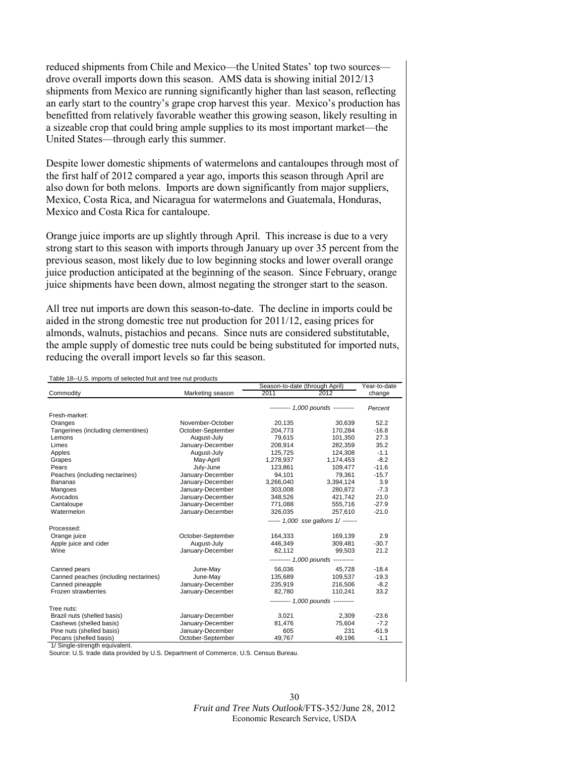reduced shipments from Chile and Mexico—the United States' top two sources drove overall imports down this season. AMS data is showing initial 2012/13 shipments from Mexico are running significantly higher than last season, reflecting an early start to the country's grape crop harvest this year. Mexico's production has benefitted from relatively favorable weather this growing season, likely resulting in a sizeable crop that could bring ample supplies to its most important market—the United States—through early this summer.

Despite lower domestic shipments of watermelons and cantaloupes through most of the first half of 2012 compared a year ago, imports this season through April are also down for both melons. Imports are down significantly from major suppliers, Mexico, Costa Rica, and Nicaragua for watermelons and Guatemala, Honduras, Mexico and Costa Rica for cantaloupe.

Orange juice imports are up slightly through April. This increase is due to a very strong start to this season with imports through January up over 35 percent from the previous season, most likely due to low beginning stocks and lower overall orange juice production anticipated at the beginning of the season. Since February, orange juice shipments have been down, almost negating the stronger start to the season.

All tree nut imports are down this season-to-date. The decline in imports could be aided in the strong domestic tree nut production for 2011/12, easing prices for almonds, walnuts, pistachios and pecans. Since nuts are considered substitutable, the ample supply of domestic tree nuts could be being substituted for imported nuts, reducing the overall import levels so far this season.

| Table 18--U.S. imports of selected fruit and tree nut products |                   | Season-to-date (through April) |                                     | Year-to-date |
|----------------------------------------------------------------|-------------------|--------------------------------|-------------------------------------|--------------|
| Commodity                                                      | Marketing season  | 2011                           | 2012                                | change       |
|                                                                |                   |                                | --------- 1,000 pounds ---------    | Percent      |
| Fresh-market:                                                  |                   |                                |                                     |              |
| Oranges                                                        | November-October  | 20,135                         | 30,639                              | 52.2         |
| Tangerines (including clementines)                             | October-September | 204,773                        | 170,284                             | $-16.8$      |
| Lemons                                                         | August-July       | 79.615                         | 101.350                             | 27.3         |
| Limes                                                          | January-December  | 208,914                        | 282,359                             | 35.2         |
| Apples                                                         | August-July       | 125,725                        | 124,308                             | $-1.1$       |
| Grapes                                                         | May-April         | 1,278,937                      | 1,174,453                           | $-8.2$       |
| Pears                                                          | July-June         | 123,861                        | 109,477                             | $-11.6$      |
| Peaches (including nectarines)                                 | January-December  | 94,101                         | 79,361                              | $-15.7$      |
| <b>Bananas</b>                                                 | January-December  | 3,266,040                      | 3,394,124                           | 3.9          |
| Mangoes                                                        | January-December  | 303,008                        | 280,872                             | $-7.3$       |
| Avocados                                                       | January-December  | 348,526                        | 421,742                             | 21.0         |
| Cantaloupe                                                     | January-December  | 771,088                        | 555,716                             | $-27.9$      |
| Watermelon                                                     | January-December  | 326,035                        | 257,610                             | $-21.0$      |
|                                                                |                   |                                | ------ 1,000 sse gallons 1/ ------- |              |
| Processed:                                                     |                   |                                |                                     |              |
| Orange juice                                                   | October-September | 164,333                        | 169,139                             | 2.9          |
| Apple juice and cider                                          | August-July       | 446,349                        | 309,481                             | $-30.7$      |
| Wine                                                           | January-December  | 82.112                         | 99,503                              | 21.2         |
|                                                                |                   |                                | --------- 1,000 pounds ---------    |              |
| Canned pears                                                   | June-May          | 56.036                         | 45.728                              | $-18.4$      |
| Canned peaches (including nectarines)                          | June-May          | 135,689                        | 109.537                             | $-19.3$      |
| Canned pineapple                                               | January-December  | 235,919                        | 216,506                             | $-8.2$       |
| Frozen strawberries                                            | January-December  | 82.780                         | 110.241                             | 33.2         |
|                                                                |                   |                                | --------- 1,000 pounds ---------    |              |
| Tree nuts:                                                     |                   |                                |                                     |              |
| Brazil nuts (shelled basis)                                    | January-December  | 3,021                          | 2,309                               | $-23.6$      |
| Cashews (shelled basis)                                        | January-December  | 81,476                         | 75,604                              | $-7.2$       |
| Pine nuts (shelled basis)                                      | January-December  | 605                            | 231                                 | $-61.9$      |
| Pecans (shelled basis)                                         | October-September | 49,767                         | 49,196                              | $-1.1$       |

1/ Single-strength equivalent.

Source: U.S. trade data provided by U.S. Department of Commerce, U.S. Census Bureau.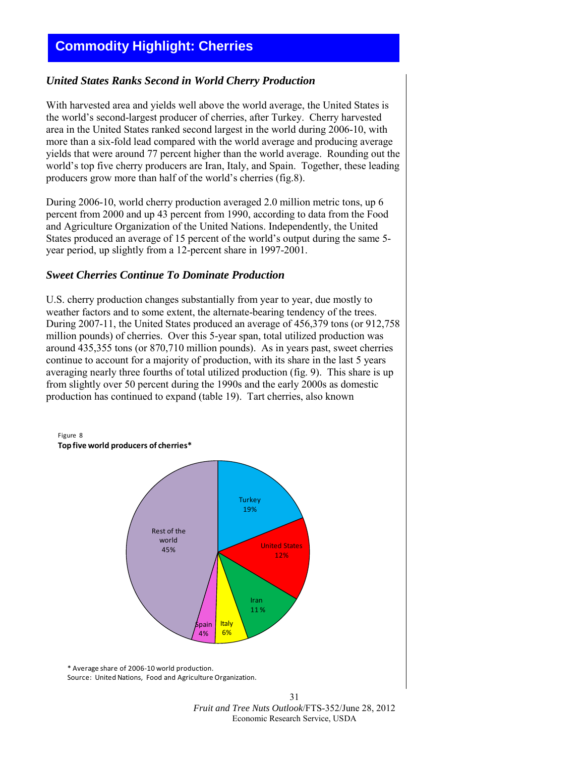# <span id="page-30-0"></span>**Commodity Highlight: Cherries**

#### *United States Ranks Second in World Cherry Production*

With harvested area and yields well above the world average, the United States is the world's second-largest producer of cherries, after Turkey. Cherry harvested area in the United States ranked second largest in the world during 2006-10, with more than a six-fold lead compared with the world average and producing average yields that were around 77 percent higher than the world average. Rounding out the world's top five cherry producers are Iran, Italy, and Spain. Together, these leading producers grow more than half of the world's cherries (fig.8).

During 2006-10, world cherry production averaged 2.0 million metric tons, up 6 percent from 2000 and up 43 percent from 1990, according to data from the Food and Agriculture Organization of the United Nations. Independently, the United States produced an average of 15 percent of the world's output during the same 5 year period, up slightly from a 12-percent share in 1997-2001.

#### *Sweet Cherries Continue To Dominate Production*

U.S. cherry production changes substantially from year to year, due mostly to weather factors and to some extent, the alternate-bearing tendency of the trees. During 2007-11, the United States produced an average of 456,379 tons (or 912,758 million pounds) of cherries. Over this 5-year span, total utilized production was around 435,355 tons (or 870,710 million pounds). As in years past, sweet cherries continue to account for a majority of production, with its share in the last 5 years averaging nearly three fourths of total utilized production (fig. 9). This share is up from slightly over 50 percent during the 1990s and the early 2000s as domestic production has continued to expand (table 19). Tart cherries, also known

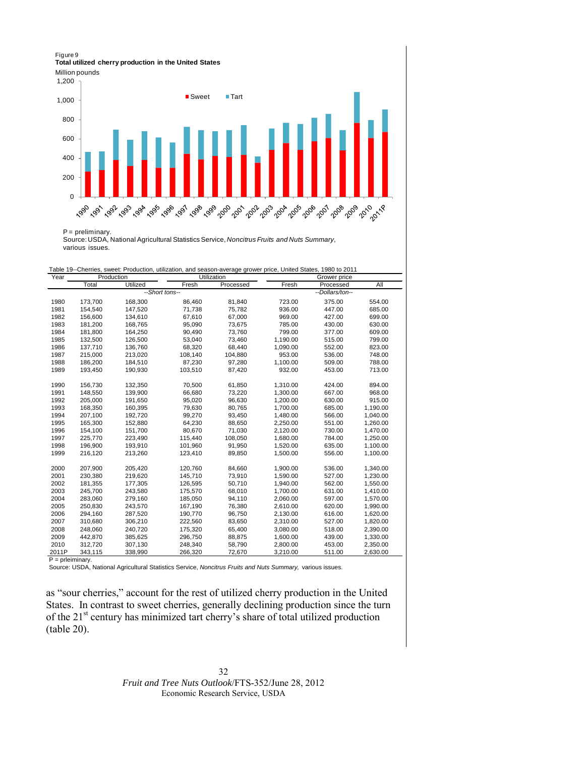#### Figure 9 **Total utilized cherry production in the United States**

Million pounds



P = preliminary.

Source: USDA, National Agricultural Statistics Service, *Noncitrus Fruits and Nuts Summary*, various issues.

| Table 19--Cherries, sweet: Production, utilization, and season-average grower price, United States, 1980 to 2011 |  |  |  |
|------------------------------------------------------------------------------------------------------------------|--|--|--|
|                                                                                                                  |  |  |  |

| Year         |                    | Production         |                  | Utilization      |          | Grower price     |          |
|--------------|--------------------|--------------------|------------------|------------------|----------|------------------|----------|
|              | Total              | Utilized           | Fresh            | Processed        | Fresh    | Processed        | All      |
|              |                    | --Short tons--     |                  |                  |          | --Dollars/ton--  |          |
| 1980         | 173,700            | 168,300            | 86,460           | 81,840           | 723.00   | 375.00           | 554.00   |
| 1981         | 154,540            | 147,520            | 71,738           | 75,782           | 936.00   | 447.00           | 685.00   |
| 1982         | 156,600            | 134,610            | 67,610           | 67,000           | 969.00   | 427.00           | 699.00   |
| 1983         | 181,200            | 168,765            | 95,090           | 73,675           | 785.00   | 430.00           | 630.00   |
| 1984         | 181,800            | 164,250            | 90,490           | 73,760           | 799.00   | 377.00           | 609.00   |
| 1985         | 132,500            | 126,500            | 53,040           | 73,460           | 1,190.00 | 515.00           | 799.00   |
| 1986         | 137,710            | 136.760            | 68,320           | 68.440           | 1,090.00 | 552.00           | 823.00   |
| 1987         | 215,000            | 213,020            | 108,140          | 104,880          | 953.00   | 536.00           | 748.00   |
| 1988         | 186,200            | 184,510            | 87,230           | 97,280           | 1,100.00 | 509.00           | 788.00   |
| 1989         | 193,450            | 190,930            | 103,510          | 87,420           | 932.00   | 453.00           | 713.00   |
|              |                    |                    |                  |                  |          |                  |          |
| 1990         | 156,730            | 132,350            | 70,500           | 61,850           | 1,310.00 | 424.00           | 894.00   |
| 1991         | 148,550            | 139,900            | 66,680           | 73,220           | 1,300.00 | 667.00           | 968.00   |
| 1992         | 205,000            | 191,650            | 95,020           | 96,630           | 1.200.00 | 630.00           | 915.00   |
| 1993         | 168,350            | 160,395            | 79,630           | 80,765           | 1,700.00 | 685.00           | 1,190.00 |
| 1994<br>1995 | 207,100<br>165,300 | 192,720<br>152,880 | 99,270<br>64,230 | 93,450<br>88,650 | 1,480.00 | 566.00<br>551.00 | 1,040.00 |
|              |                    |                    |                  |                  | 2,250.00 |                  | 1,260.00 |
| 1996         | 154,100            | 151.700            | 80.670           | 71,030           | 2,120.00 | 730.00           | 1,470.00 |
| 1997         | 225.770            | 223.490            | 115.440          | 108.050          | 1.680.00 | 784.00           | 1,250.00 |
| 1998         | 196,900            | 193,910            | 101,960          | 91,950           | 1,520.00 | 635.00           | 1,100.00 |
| 1999         | 216,120            | 213,260            | 123,410          | 89,850           | 1,500.00 | 556.00           | 1,100.00 |
| 2000         | 207,900            | 205,420            | 120,760          | 84,660           | 1,900.00 | 536.00           | 1,340.00 |
| 2001         | 230,380            | 219,620            | 145,710          | 73,910           | 1,590.00 | 527.00           | 1,230.00 |
| 2002         | 181,355            | 177,305            | 126,595          | 50,710           | 1,940.00 | 562.00           | 1,550.00 |
| 2003         | 245,700            | 243,580            | 175,570          | 68,010           | 1,700.00 | 631.00           | 1,410.00 |
| 2004         | 283,060            | 279,160            | 185,050          | 94,110           | 2,060.00 | 597.00           | 1,570.00 |
| 2005         | 250,830            | 243,570            | 167,190          | 76,380           | 2,610.00 | 620.00           | 1,990.00 |
| 2006         | 294,160            | 287,520            | 190,770          | 96,750           | 2,130.00 | 616.00           | 1,620.00 |
| 2007         | 310,680            | 306,210            | 222,560          | 83,650           | 2,310.00 | 527.00           | 1,820.00 |
| 2008         | 248,060            | 240,720            | 175,320          | 65,400           | 3,080.00 | 518.00           | 2,390.00 |
| 2009         | 442,870            | 385,625            | 296,750          | 88,875           | 1,600.00 | 439.00           | 1,330.00 |
| 2010         | 312,720            | 307,130            | 248,340          | 58,790           | 2,800.00 | 453.00           | 2,350.00 |
| 2011P        | 343,115            | 338,990            | 266,320          | 72,670           | 3,210.00 | 511.00           | 2,630.00 |

P = prleiminary.

Source: USDA, National Agricultural Statistics Service, *Noncitrus Fruits and Nuts Summary,* various issues.

as "sour cherries," account for the rest of utilized cherry production in the United States. In contrast to sweet cherries, generally declining production since the turn of the 21<sup>st</sup> century has minimized tart cherry's share of total utilized production (table 20).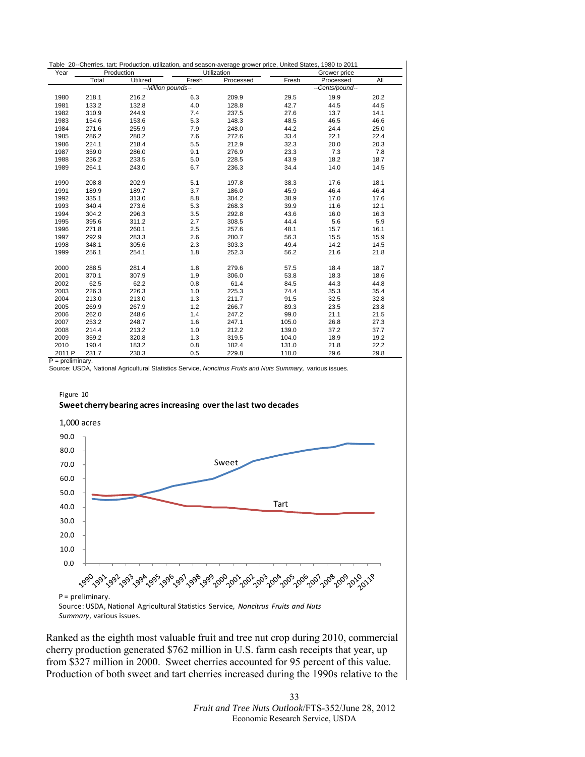|        |       |                    |       | Table 20--Cherries, tart: Production, utilization, and season-average grower price, United States, 1980 to 2011 |       |                 |      |
|--------|-------|--------------------|-------|-----------------------------------------------------------------------------------------------------------------|-------|-----------------|------|
| Year   |       | Production         |       | Utilization                                                                                                     |       | Grower price    |      |
|        | Total | Utilized           | Fresh | Processed                                                                                                       | Fresh | Processed       | All  |
|        |       | --Million pounds-- |       |                                                                                                                 |       | --Cents/pound-- |      |
| 1980   | 218.1 | 216.2              | 6.3   | 209.9                                                                                                           | 29.5  | 19.9            | 20.2 |
| 1981   | 133.2 | 132.8              | 4.0   | 128.8                                                                                                           | 42.7  | 44.5            | 44.5 |
| 1982   | 310.9 | 244.9              | 7.4   | 237.5                                                                                                           | 27.6  | 13.7            | 14.1 |
| 1983   | 154.6 | 153.6              | 5.3   | 148.3                                                                                                           | 48.5  | 46.5            | 46.6 |
| 1984   | 271.6 | 255.9              | 7.9   | 248.0                                                                                                           | 44.2  | 24.4            | 25.0 |
| 1985   | 286.2 | 280.2              | 7.6   | 272.6                                                                                                           | 33.4  | 22.1            | 22.4 |
| 1986   | 224.1 | 218.4              | 5.5   | 212.9                                                                                                           | 32.3  | 20.0            | 20.3 |
| 1987   | 359.0 | 286.0              | 9.1   | 276.9                                                                                                           | 23.3  | 7.3             | 7.8  |
| 1988   | 236.2 | 233.5              | 5.0   | 228.5                                                                                                           | 43.9  | 18.2            | 18.7 |
| 1989   | 264.1 | 243.0              | 6.7   | 236.3                                                                                                           | 34.4  | 14.0            | 14.5 |
| 1990   | 208.8 | 202.9              | 5.1   | 197.8                                                                                                           | 38.3  | 17.6            | 18.1 |
| 1991   | 189.9 | 189.7              | 3.7   | 186.0                                                                                                           | 45.9  | 46.4            | 46.4 |
| 1992   | 335.1 | 313.0              | 8.8   | 304.2                                                                                                           | 38.9  | 17.0            | 17.6 |
| 1993   | 340.4 | 273.6              | 5.3   | 268.3                                                                                                           | 39.9  | 11.6            | 12.1 |
| 1994   | 304.2 | 296.3              | 3.5   | 292.8                                                                                                           | 43.6  | 16.0            | 16.3 |
| 1995   | 395.6 | 311.2              | 2.7   | 308.5                                                                                                           | 44.4  | 5.6             | 5.9  |
| 1996   | 271.8 | 260.1              | 2.5   | 257.6                                                                                                           | 48.1  | 15.7            | 16.1 |
| 1997   | 292.9 | 283.3              | 2.6   | 280.7                                                                                                           | 56.3  | 15.5            | 15.9 |
| 1998   | 348.1 | 305.6              | 2.3   | 303.3                                                                                                           | 49.4  | 14.2            | 14.5 |
| 1999   | 256.1 | 254.1              | 1.8   | 252.3                                                                                                           | 56.2  | 21.6            | 21.8 |
| 2000   | 288.5 | 281.4              | 1.8   | 279.6                                                                                                           | 57.5  | 18.4            | 18.7 |
| 2001   | 370.1 | 307.9              | 1.9   | 306.0                                                                                                           | 53.8  | 18.3            | 18.6 |
| 2002   | 62.5  | 62.2               | 0.8   | 61.4                                                                                                            | 84.5  | 44.3            | 44.8 |
| 2003   | 226.3 | 226.3              | 1.0   | 225.3                                                                                                           | 74.4  | 35.3            | 35.4 |
| 2004   | 213.0 | 213.0              | 1.3   | 211.7                                                                                                           | 91.5  | 32.5            | 32.8 |
| 2005   | 269.9 | 267.9              | 1.2   | 266.7                                                                                                           | 89.3  | 23.5            | 23.8 |
| 2006   | 262.0 | 248.6              | 1.4   | 247.2                                                                                                           | 99.0  | 21.1            | 21.5 |
| 2007   | 253.2 | 248.7              | 1.6   | 247.1                                                                                                           | 105.0 | 26.8            | 27.3 |
| 2008   | 214.4 | 213.2              | 1.0   | 212.2                                                                                                           | 139.0 | 37.2            | 37.7 |
| 2009   | 359.2 | 320.8              | 1.3   | 319.5                                                                                                           | 104.0 | 18.9            | 19.2 |
| 2010   | 190.4 | 183.2              | 0.8   | 182.4                                                                                                           | 131.0 | 21.8            | 22.2 |
| 2011 P | 231.7 | 230.3              | 0.5   | 229.8                                                                                                           | 118.0 | 29.6            | 29.8 |

P = preliminary.

Source: USDA, National Agricultural Statistics Service, *Noncitrus Fruits and Nuts Summary,* various issues.





*Summary*, various issues.

Ranked as the eighth most valuable fruit and tree nut crop during 2010, commercial cherry production generated \$762 million in U.S. farm cash receipts that year, up from \$327 million in 2000. Sweet cherries accounted for 95 percent of this value. Production of both sweet and tart cherries increased during the 1990s relative to the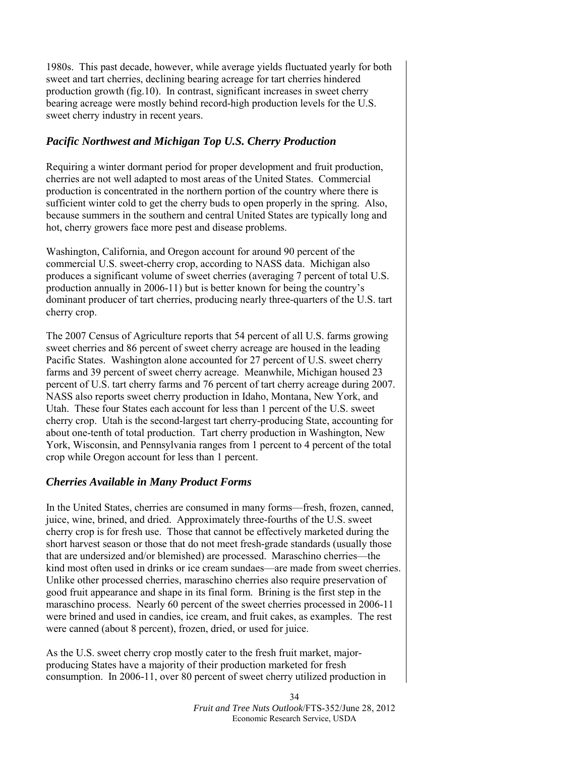1980s. This past decade, however, while average yields fluctuated yearly for both sweet and tart cherries, declining bearing acreage for tart cherries hindered production growth (fig.10). In contrast, significant increases in sweet cherry bearing acreage were mostly behind record-high production levels for the U.S. sweet cherry industry in recent years.

# *Pacific Northwest and Michigan Top U.S. Cherry Production*

Requiring a winter dormant period for proper development and fruit production, cherries are not well adapted to most areas of the United States. Commercial production is concentrated in the northern portion of the country where there is sufficient winter cold to get the cherry buds to open properly in the spring. Also, because summers in the southern and central United States are typically long and hot, cherry growers face more pest and disease problems.

Washington, California, and Oregon account for around 90 percent of the commercial U.S. sweet-cherry crop, according to NASS data. Michigan also produces a significant volume of sweet cherries (averaging 7 percent of total U.S. production annually in 2006-11) but is better known for being the country's dominant producer of tart cherries, producing nearly three-quarters of the U.S. tart cherry crop.

The 2007 Census of Agriculture reports that 54 percent of all U.S. farms growing sweet cherries and 86 percent of sweet cherry acreage are housed in the leading Pacific States. Washington alone accounted for 27 percent of U.S. sweet cherry farms and 39 percent of sweet cherry acreage. Meanwhile, Michigan housed 23 percent of U.S. tart cherry farms and 76 percent of tart cherry acreage during 2007. NASS also reports sweet cherry production in Idaho, Montana, New York, and Utah. These four States each account for less than 1 percent of the U.S. sweet cherry crop. Utah is the second-largest tart cherry-producing State, accounting for about one-tenth of total production. Tart cherry production in Washington, New York, Wisconsin, and Pennsylvania ranges from 1 percent to 4 percent of the total crop while Oregon account for less than 1 percent.

# *Cherries Available in Many Product Forms*

In the United States, cherries are consumed in many forms—fresh, frozen, canned, juice, wine, brined, and dried. Approximately three-fourths of the U.S. sweet cherry crop is for fresh use. Those that cannot be effectively marketed during the short harvest season or those that do not meet fresh-grade standards (usually those that are undersized and/or blemished) are processed. Maraschino cherries—the kind most often used in drinks or ice cream sundaes—are made from sweet cherries. Unlike other processed cherries, maraschino cherries also require preservation of good fruit appearance and shape in its final form. Brining is the first step in the maraschino process. Nearly 60 percent of the sweet cherries processed in 2006-11 were brined and used in candies, ice cream, and fruit cakes, as examples. The rest were canned (about 8 percent), frozen, dried, or used for juice.

As the U.S. sweet cherry crop mostly cater to the fresh fruit market, majorproducing States have a majority of their production marketed for fresh consumption. In 2006-11, over 80 percent of sweet cherry utilized production in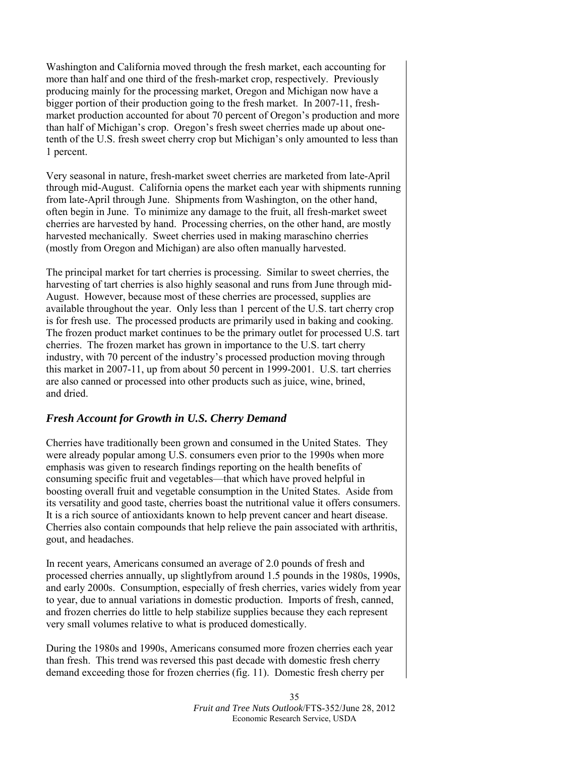Washington and California moved through the fresh market, each accounting for more than half and one third of the fresh-market crop, respectively. Previously producing mainly for the processing market, Oregon and Michigan now have a bigger portion of their production going to the fresh market. In 2007-11, freshmarket production accounted for about 70 percent of Oregon's production and more than half of Michigan's crop. Oregon's fresh sweet cherries made up about onetenth of the U.S. fresh sweet cherry crop but Michigan's only amounted to less than 1 percent.

Very seasonal in nature, fresh-market sweet cherries are marketed from late-April through mid-August. California opens the market each year with shipments running from late-April through June. Shipments from Washington, on the other hand, often begin in June. To minimize any damage to the fruit, all fresh-market sweet cherries are harvested by hand. Processing cherries, on the other hand, are mostly harvested mechanically. Sweet cherries used in making maraschino cherries (mostly from Oregon and Michigan) are also often manually harvested.

The principal market for tart cherries is processing. Similar to sweet cherries, the harvesting of tart cherries is also highly seasonal and runs from June through mid-August. However, because most of these cherries are processed, supplies are available throughout the year. Only less than 1 percent of the U.S. tart cherry crop is for fresh use. The processed products are primarily used in baking and cooking. The frozen product market continues to be the primary outlet for processed U.S. tart cherries. The frozen market has grown in importance to the U.S. tart cherry industry, with 70 percent of the industry's processed production moving through this market in 2007-11, up from about 50 percent in 1999-2001. U.S. tart cherries are also canned or processed into other products such as juice, wine, brined, and dried.

# *Fresh Account for Growth in U.S. Cherry Demand*

Cherries have traditionally been grown and consumed in the United States. They were already popular among U.S. consumers even prior to the 1990s when more emphasis was given to research findings reporting on the health benefits of consuming specific fruit and vegetables—that which have proved helpful in boosting overall fruit and vegetable consumption in the United States. Aside from its versatility and good taste, cherries boast the nutritional value it offers consumers. It is a rich source of antioxidants known to help prevent cancer and heart disease. Cherries also contain compounds that help relieve the pain associated with arthritis, gout, and headaches.

In recent years, Americans consumed an average of 2.0 pounds of fresh and processed cherries annually, up slightlyfrom around 1.5 pounds in the 1980s, 1990s, and early 2000s. Consumption, especially of fresh cherries, varies widely from year to year, due to annual variations in domestic production. Imports of fresh, canned, and frozen cherries do little to help stabilize supplies because they each represent very small volumes relative to what is produced domestically.

During the 1980s and 1990s, Americans consumed more frozen cherries each year than fresh. This trend was reversed this past decade with domestic fresh cherry demand exceeding those for frozen cherries (fig. 11). Domestic fresh cherry per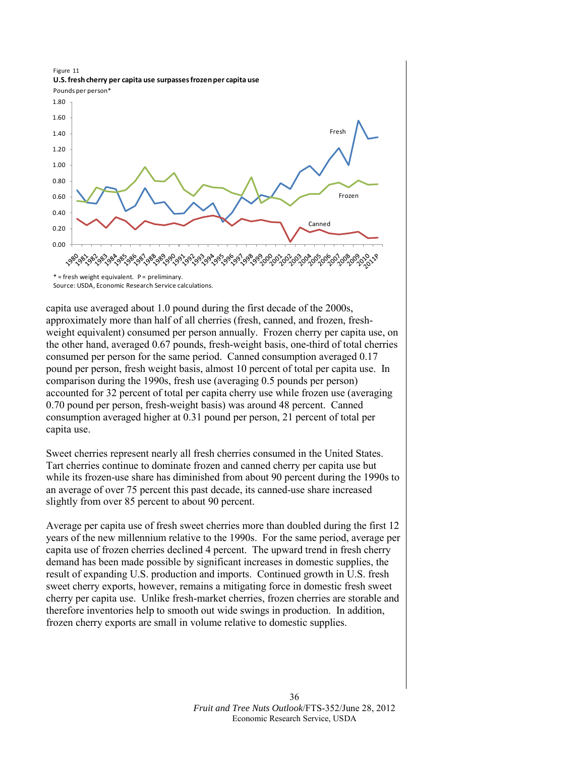

capita use averaged about 1.0 pound during the first decade of the 2000s, approximately more than half of all cherries (fresh, canned, and frozen, freshweight equivalent) consumed per person annually. Frozen cherry per capita use, on the other hand, averaged 0.67 pounds, fresh-weight basis, one-third of total cherries consumed per person for the same period. Canned consumption averaged 0.17 pound per person, fresh weight basis, almost 10 percent of total per capita use. In comparison during the 1990s, fresh use (averaging 0.5 pounds per person) accounted for 32 percent of total per capita cherry use while frozen use (averaging 0.70 pound per person, fresh-weight basis) was around 48 percent. Canned consumption averaged higher at 0.31 pound per person, 21 percent of total per capita use.

Sweet cherries represent nearly all fresh cherries consumed in the United States. Tart cherries continue to dominate frozen and canned cherry per capita use but while its frozen-use share has diminished from about 90 percent during the 1990s to an average of over 75 percent this past decade, its canned-use share increased slightly from over 85 percent to about 90 percent.

Average per capita use of fresh sweet cherries more than doubled during the first 12 years of the new millennium relative to the 1990s. For the same period, average per capita use of frozen cherries declined 4 percent. The upward trend in fresh cherry demand has been made possible by significant increases in domestic supplies, the result of expanding U.S. production and imports. Continued growth in U.S. fresh sweet cherry exports, however, remains a mitigating force in domestic fresh sweet cherry per capita use. Unlike fresh-market cherries, frozen cherries are storable and therefore inventories help to smooth out wide swings in production. In addition, frozen cherry exports are small in volume relative to domestic supplies.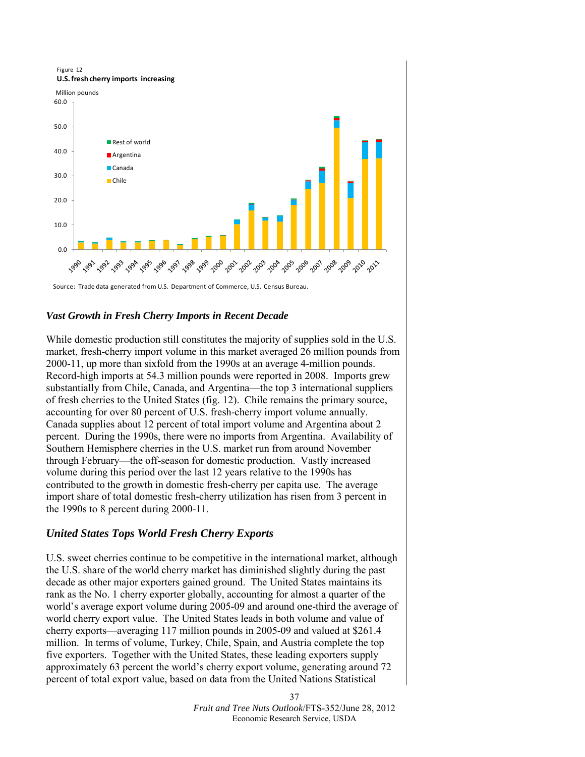

Source: Trade data generated from U.S. Department of Commerce, U.S. Census Bureau.

#### *Vast Growth in Fresh Cherry Imports in Recent Decade*

While domestic production still constitutes the majority of supplies sold in the U.S. market, fresh-cherry import volume in this market averaged 26 million pounds from 2000-11, up more than sixfold from the 1990s at an average 4-million pounds. Record-high imports at 54.3 million pounds were reported in 2008. Imports grew substantially from Chile, Canada, and Argentina—the top 3 international suppliers of fresh cherries to the United States (fig. 12). Chile remains the primary source, accounting for over 80 percent of U.S. fresh-cherry import volume annually. Canada supplies about 12 percent of total import volume and Argentina about 2 percent. During the 1990s, there were no imports from Argentina. Availability of Southern Hemisphere cherries in the U.S. market run from around November through February—the off-season for domestic production. Vastly increased volume during this period over the last 12 years relative to the 1990s has contributed to the growth in domestic fresh-cherry per capita use. The average import share of total domestic fresh-cherry utilization has risen from 3 percent in the 1990s to 8 percent during 2000-11.

#### *United States Tops World Fresh Cherry Exports*

U.S. sweet cherries continue to be competitive in the international market, although the U.S. share of the world cherry market has diminished slightly during the past decade as other major exporters gained ground. The United States maintains its rank as the No. 1 cherry exporter globally, accounting for almost a quarter of the world's average export volume during 2005-09 and around one-third the average of world cherry export value. The United States leads in both volume and value of cherry exports—averaging 117 million pounds in 2005-09 and valued at \$261.4 million. In terms of volume, Turkey, Chile, Spain, and Austria complete the top five exporters. Together with the United States, these leading exporters supply approximately 63 percent the world's cherry export volume, generating around 72 percent of total export value, based on data from the United Nations Statistical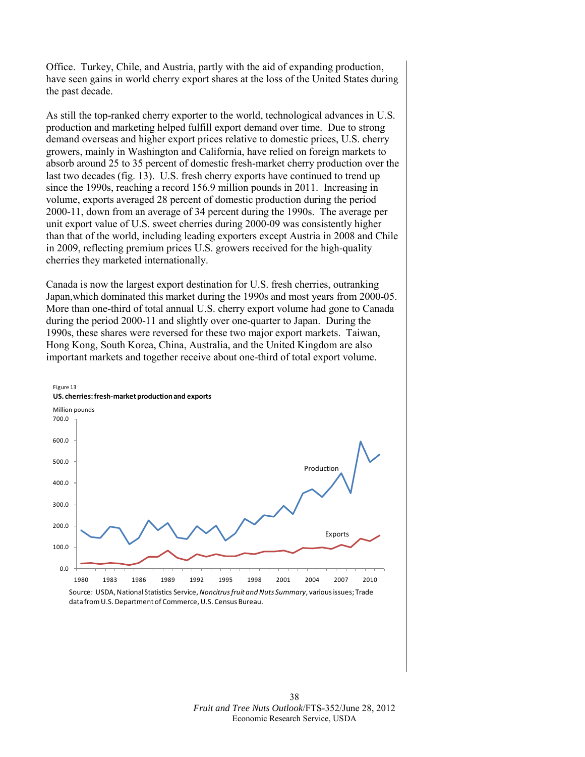Office. Turkey, Chile, and Austria, partly with the aid of expanding production, have seen gains in world cherry export shares at the loss of the United States during the past decade.

As still the top-ranked cherry exporter to the world, technological advances in U.S. production and marketing helped fulfill export demand over time. Due to strong demand overseas and higher export prices relative to domestic prices, U.S. cherry growers, mainly in Washington and California, have relied on foreign markets to absorb around 25 to 35 percent of domestic fresh-market cherry production over the last two decades (fig. 13). U.S. fresh cherry exports have continued to trend up since the 1990s, reaching a record 156.9 million pounds in 2011. Increasing in volume, exports averaged 28 percent of domestic production during the period 2000-11, down from an average of 34 percent during the 1990s. The average per unit export value of U.S. sweet cherries during 2000-09 was consistently higher than that of the world, including leading exporters except Austria in 2008 and Chile in 2009, reflecting premium prices U.S. growers received for the high-quality cherries they marketed internationally.

Canada is now the largest export destination for U.S. fresh cherries, outranking Japan,which dominated this market during the 1990s and most years from 2000-05. More than one-third of total annual U.S. cherry export volume had gone to Canada during the period 2000-11 and slightly over one-quarter to Japan. During the 1990s, these shares were reversed for these two major export markets. Taiwan, Hong Kong, South Korea, China, Australia, and the United Kingdom are also important markets and together receive about one-third of total export volume.



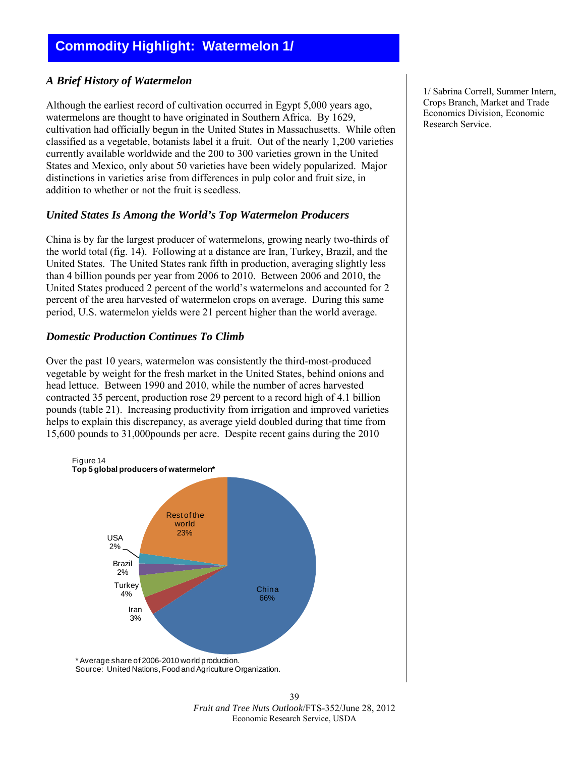# <span id="page-38-0"></span>*A Brief History of Watermelon*

Although the earliest record of cultivation occurred in Egypt 5,000 years ago, watermelons are thought to have originated in Southern Africa. By 1629, cultivation had officially begun in the United States in Massachusetts. While often classified as a vegetable, botanists label it a fruit. Out of the nearly 1,200 varieties currently available worldwide and the 200 to 300 varieties grown in the United States and Mexico, only about 50 varieties have been widely popularized. Major distinctions in varieties arise from differences in pulp color and fruit size, in addition to whether or not the fruit is seedless.

# *United States Is Among the World's Top Watermelon Producers*

China is by far the largest producer of watermelons, growing nearly two-thirds of the world total (fig. 14). Following at a distance are Iran, Turkey, Brazil, and the United States. The United States rank fifth in production, averaging slightly less than 4 billion pounds per year from 2006 to 2010. Between 2006 and 2010, the United States produced 2 percent of the world's watermelons and accounted for 2 percent of the area harvested of watermelon crops on average. During this same period, U.S. watermelon yields were 21 percent higher than the world average.

# *Domestic Production Continues To Climb*

Over the past 10 years, watermelon was consistently the third-most-produced vegetable by weight for the fresh market in the United States, behind onions and head lettuce. Between 1990 and 2010, while the number of acres harvested contracted 35 percent, production rose 29 percent to a record high of 4.1 billion pounds (table 21). Increasing productivity from irrigation and improved varieties helps to explain this discrepancy, as average yield doubled during that time from 15,600 pounds to 31,000pounds per acre. Despite recent gains during the 2010



1/ Sabrina Correll, Summer Intern, Crops Branch, Market and Trade Economics Division, Economic Research Service.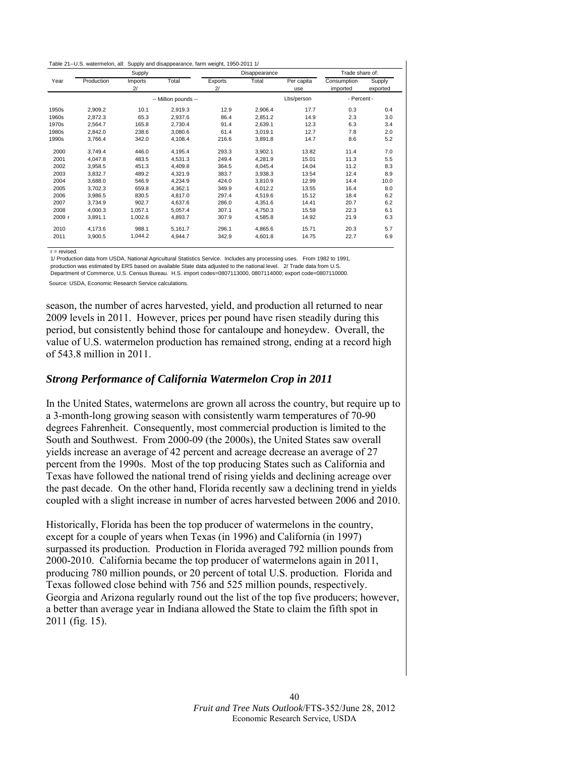|  |  | Table 21--U.S. watermelon, all: Supply and disappearance, farm weight, 1950-2011 1/ |  |
|--|--|-------------------------------------------------------------------------------------|--|
|  |  |                                                                                     |  |

|        | Supply               |                           |         | Disappearance |         |                   | Trade share of:         |                    |
|--------|----------------------|---------------------------|---------|---------------|---------|-------------------|-------------------------|--------------------|
| Year   | Production           | Imports<br>2 <sup>1</sup> | Total   | Exports<br>2/ | Total   | Per capita<br>use | Consumption<br>imported | Supply<br>exported |
|        | -- Million pounds -- |                           |         |               |         | Lbs/person        | - Percent -             |                    |
| 1950s  | 2,909.2              | 10.1                      | 2,919.3 | 12.9          | 2,906.4 | 17.7              | 0.3                     | 0.4                |
| 1960s  | 2.872.3              | 65.3                      | 2.937.6 | 86.4          | 2,851.2 | 14.9              | 2.3                     | 3.0                |
| 1970s  | 2,564.7              | 165.8                     | 2,730.4 | 91.4          | 2,639.1 | 12.3              | 6.3                     | 3.4                |
| 1980s  | 2.842.0              | 238.6                     | 3,080.6 | 61.4          | 3,019.1 | 12.7              | 7.8                     | 2.0                |
| 1990s  | 3,766.4              | 342.0                     | 4,108.4 | 216.6         | 3,891.8 | 14.7              | 8.6                     | 5.2                |
| 2000   | 3.749.4              | 446.0                     | 4,195.4 | 293.3         | 3,902.1 | 13.82             | 11.4                    | 7.0                |
| 2001   | 4.047.8              | 483.5                     | 4,531.3 | 249.4         | 4,281.9 | 15.01             | 11.3                    | 5.5                |
| 2002   | 3,958.5              | 451.3                     | 4,409.8 | 364.5         | 4,045.4 | 14.04             | 11.2                    | 8.3                |
| 2003   | 3,832.7              | 489.2                     | 4,321.9 | 383.7         | 3,938.3 | 13.54             | 12.4                    | 8.9                |
| 2004   | 3.688.0              | 546.9                     | 4,234.9 | 424.0         | 3.810.9 | 12.99             | 14.4                    | 10.0               |
| 2005   | 3.702.3              | 659.8                     | 4.362.1 | 349.9         | 4.012.2 | 13.55             | 16.4                    | 8.0                |
| 2006   | 3,986.5              | 830.5                     | 4.817.0 | 297.4         | 4,519.6 | 15.12             | 18.4                    | 6.2                |
| 2007   | 3,734.9              | 902.7                     | 4,637.6 | 286.0         | 4,351.6 | 14.41             | 20.7                    | 6.2                |
| 2008   | 4.000.3              | 1.057.1                   | 5.057.4 | 307.1         | 4.750.3 | 15.59             | 22.3                    | 6.1                |
| 2009 r | 3,891.1              | 1,002.6                   | 4,893.7 | 307.9         | 4,585.8 | 14.92             | 21.9                    | 6.3                |
| 2010   | 4.173.6              | 988.1                     | 5.161.7 | 296.1         | 4.865.6 | 15.71             | 20.3                    | 5.7                |
| 2011   | 3,900.5              | 1,044.2                   | 4,944.7 | 342.9         | 4,601.8 | 14.75             | 22.7                    | 6.9                |

 $r =$  revised.

 1/ Production data from USDA, National Agricultural Statistics Service. Includes any processing uses. From 1982 to 1991, production was estimated by ERS based on available State data adjusted to the national level. 2/ Trade data from U.S. Department of Commerce, U.S. Census Bureau. H.S. import codes=0807113000, 0807114000; export code=0807110000. Source: USDA, Economic Research Service calculations.

season, the number of acres harvested, yield, and production all returned to near 2009 levels in 2011. However, prices per pound have risen steadily during this period, but consistently behind those for cantaloupe and honeydew. Overall, the value of U.S. watermelon production has remained strong, ending at a record high of 543.8 million in 2011.

#### *Strong Performance of California Watermelon Crop in 2011*

In the United States, watermelons are grown all across the country, but require up to a 3-month-long growing season with consistently warm temperatures of 70-90 degrees Fahrenheit. Consequently, most commercial production is limited to the South and Southwest. From 2000-09 (the 2000s), the United States saw overall yields increase an average of 42 percent and acreage decrease an average of 27 percent from the 1990s. Most of the top producing States such as California and Texas have followed the national trend of rising yields and declining acreage over the past decade. On the other hand, Florida recently saw a declining trend in yields coupled with a slight increase in number of acres harvested between 2006 and 2010.

Historically, Florida has been the top producer of watermelons in the country, except for a couple of years when Texas (in 1996) and California (in 1997) surpassed its production. Production in Florida averaged 792 million pounds from 2000-2010. California became the top producer of watermelons again in 2011, producing 780 million pounds, or 20 percent of total U.S. production. Florida and Texas followed close behind with 756 and 525 million pounds, respectively. Georgia and Arizona regularly round out the list of the top five producers; however, a better than average year in Indiana allowed the State to claim the fifth spot in 2011 (fig. 15).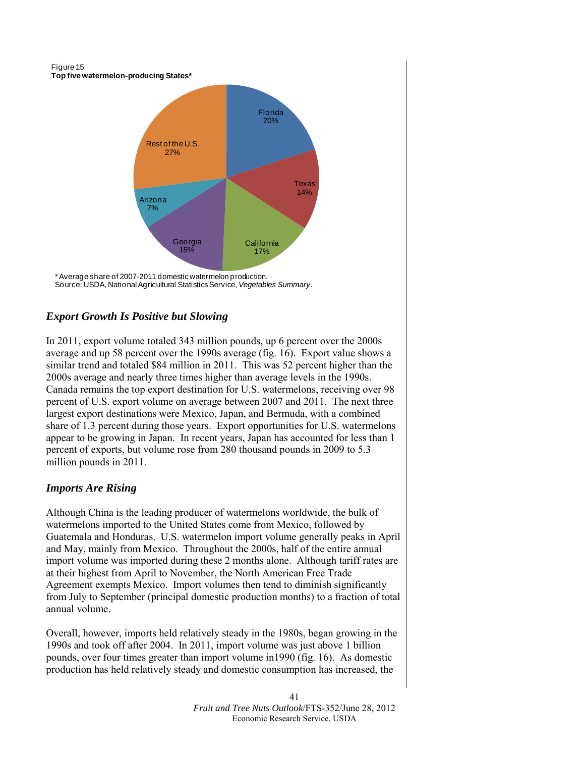Figure 15 **Top five watermelon-producing States\***



\* Average share of 2007-2011 domestic watermelon production. Source: USDA, National Agricultural Statistics Service, *Vegetables Summary.*

# *Export Growth Is Positive but Slowing*

In 2011, export volume totaled 343 million pounds, up 6 percent over the 2000s average and up 58 percent over the 1990s average (fig. 16). Export value shows a similar trend and totaled \$84 million in 2011. This was 52 percent higher than the 2000s average and nearly three times higher than average levels in the 1990s. Canada remains the top export destination for U.S. watermelons, receiving over 98 percent of U.S. export volume on average between 2007 and 2011. The next three largest export destinations were Mexico, Japan, and Bermuda, with a combined share of 1.3 percent during those years. Export opportunities for U.S. watermelons appear to be growing in Japan. In recent years, Japan has accounted for less than 1 percent of exports, but volume rose from 280 thousand pounds in 2009 to 5.3 million pounds in 2011.

# *Imports Are Rising*

Although China is the leading producer of watermelons worldwide, the bulk of watermelons imported to the United States come from Mexico, followed by Guatemala and Honduras. U.S. watermelon import volume generally peaks in April and May, mainly from Mexico. Throughout the 2000s, half of the entire annual import volume was imported during these 2 months alone. Although tariff rates are at their highest from April to November, the North American Free Trade Agreement exempts Mexico. Import volumes then tend to diminish significantly from July to September (principal domestic production months) to a fraction of total annual volume.

Overall, however, imports held relatively steady in the 1980s, began growing in the 1990s and took off after 2004. In 2011, import volume was just above 1 billion pounds, over four times greater than import volume in1990 (fig. 16). As domestic production has held relatively steady and domestic consumption has increased, the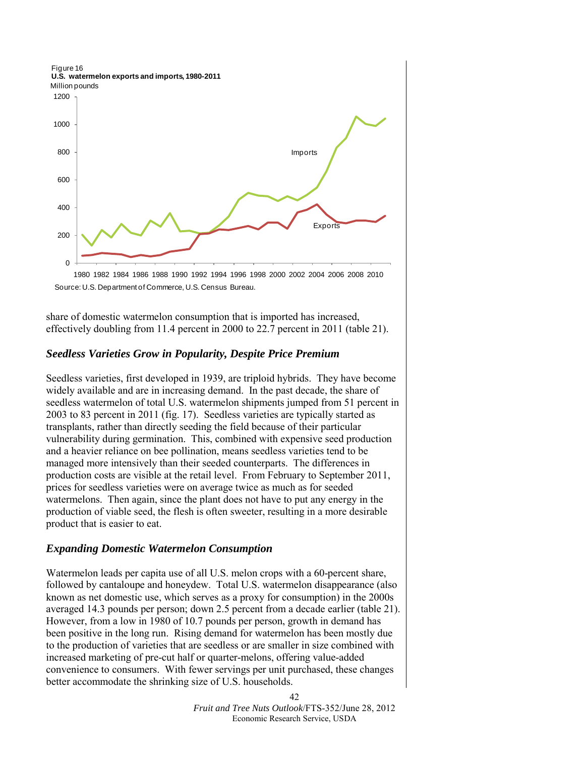Figure 16 **U.S. watermelon exports and imports, 1980-2011**



Source: U.S. Department of Commerce, U.S. Census Bureau.

share of domestic watermelon consumption that is imported has increased, effectively doubling from 11.4 percent in 2000 to 22.7 percent in 2011 (table 21).

#### *Seedless Varieties Grow in Popularity, Despite Price Premium*

Seedless varieties, first developed in 1939, are triploid hybrids. They have become widely available and are in increasing demand. In the past decade, the share of seedless watermelon of total U.S. watermelon shipments jumped from 51 percent in 2003 to 83 percent in 2011 (fig. 17). Seedless varieties are typically started as transplants, rather than directly seeding the field because of their particular vulnerability during germination. This, combined with expensive seed production and a heavier reliance on bee pollination, means seedless varieties tend to be managed more intensively than their seeded counterparts. The differences in production costs are visible at the retail level. From February to September 2011, prices for seedless varieties were on average twice as much as for seeded watermelons. Then again, since the plant does not have to put any energy in the production of viable seed, the flesh is often sweeter, resulting in a more desirable product that is easier to eat.

#### *Expanding Domestic Watermelon Consumption*

Watermelon leads per capita use of all U.S. melon crops with a 60-percent share, followed by cantaloupe and honeydew. Total U.S. watermelon disappearance (also known as net domestic use, which serves as a proxy for consumption) in the 2000s averaged 14.3 pounds per person; down 2.5 percent from a decade earlier (table 21). However, from a low in 1980 of 10.7 pounds per person, growth in demand has been positive in the long run. Rising demand for watermelon has been mostly due to the production of varieties that are seedless or are smaller in size combined with increased marketing of pre-cut half or quarter-melons, offering value-added convenience to consumers. With fewer servings per unit purchased, these changes better accommodate the shrinking size of U.S. households.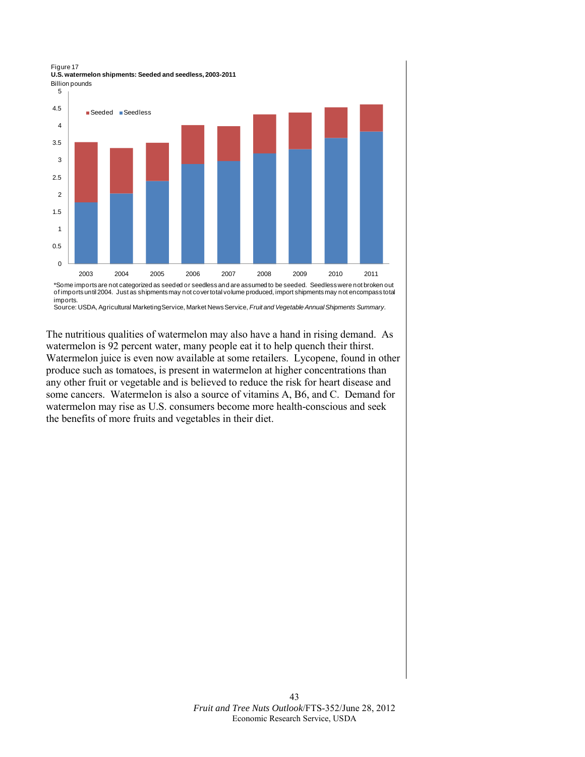Billion pounds Figure 17 **U.S. watermelon shipments: Seeded and seedless, 2003-2011**



of imports until 2004. Just as shipments may not cover total volume produced, import shipments may not encompass total imports.

Source: USDA, Agricultural Marketing Service, Market News Service, *Fruit and Vegetable Annual Shipments Summary.*

The nutritious qualities of watermelon may also have a hand in rising demand. As watermelon is 92 percent water, many people eat it to help quench their thirst. Watermelon juice is even now available at some retailers. Lycopene, found in other produce such as tomatoes, is present in watermelon at higher concentrations than any other fruit or vegetable and is believed to reduce the risk for heart disease and some cancers. Watermelon is also a source of vitamins A, B6, and C. Demand for watermelon may rise as U.S. consumers become more health-conscious and seek the benefits of more fruits and vegetables in their diet.